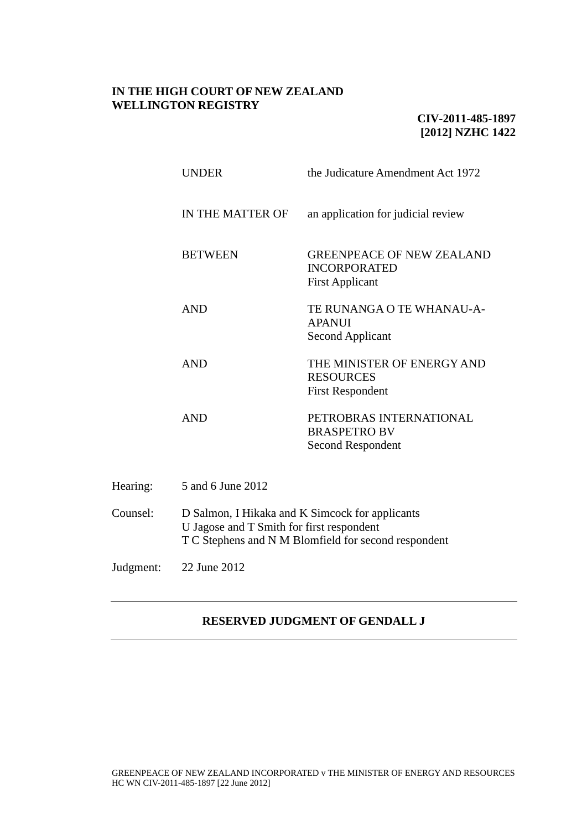# **IN THE HIGH COURT OF NEW ZEALAND WELLINGTON REGISTRY**

# **CIV-2011-485-1897 [2012] NZHC 1422**

|          | <b>UNDER</b>                                                                                                                                         | the Judicature Amendment Act 1972                                                 |
|----------|------------------------------------------------------------------------------------------------------------------------------------------------------|-----------------------------------------------------------------------------------|
|          | IN THE MATTER OF                                                                                                                                     | an application for judicial review                                                |
|          | <b>BETWEEN</b>                                                                                                                                       | <b>GREENPEACE OF NEW ZEALAND</b><br><b>INCORPORATED</b><br><b>First Applicant</b> |
|          | <b>AND</b>                                                                                                                                           | TE RUNANGA O TE WHANAU-A-<br><b>APANUI</b><br><b>Second Applicant</b>             |
|          | <b>AND</b>                                                                                                                                           | THE MINISTER OF ENERGY AND<br><b>RESOURCES</b><br><b>First Respondent</b>         |
|          | <b>AND</b>                                                                                                                                           | PETROBRAS INTERNATIONAL<br><b>BRASPETRO BV</b><br><b>Second Respondent</b>        |
| Hearing: | 5 and 6 June 2012                                                                                                                                    |                                                                                   |
| Counsel: | D Salmon, I Hikaka and K Simcock for applicants<br>U Jagose and T Smith for first respondent<br>T C Stephens and N M Blomfield for second respondent |                                                                                   |

Judgment: 22 June 2012

# **RESERVED JUDGMENT OF GENDALL J**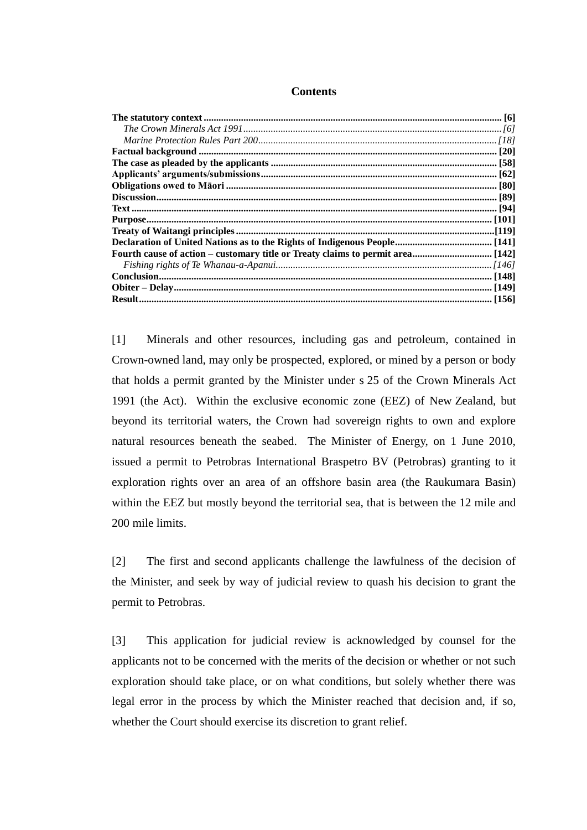| <b>Contents</b> |
|-----------------|
|-----------------|

[1] Minerals and other resources, including gas and petroleum, contained in Crown-owned land, may only be prospected, explored, or mined by a person or body that holds a permit granted by the Minister under s 25 of the Crown Minerals Act 1991 (the Act). Within the exclusive economic zone (EEZ) of New Zealand, but beyond its territorial waters, the Crown had sovereign rights to own and explore natural resources beneath the seabed. The Minister of Energy, on 1 June 2010, issued a permit to Petrobras International Braspetro BV (Petrobras) granting to it exploration rights over an area of an offshore basin area (the Raukumara Basin) within the EEZ but mostly beyond the territorial sea, that is between the 12 mile and 200 mile limits.

[2] The first and second applicants challenge the lawfulness of the decision of the Minister, and seek by way of judicial review to quash his decision to grant the permit to Petrobras.

[3] This application for judicial review is acknowledged by counsel for the applicants not to be concerned with the merits of the decision or whether or not such exploration should take place, or on what conditions, but solely whether there was legal error in the process by which the Minister reached that decision and, if so, whether the Court should exercise its discretion to grant relief.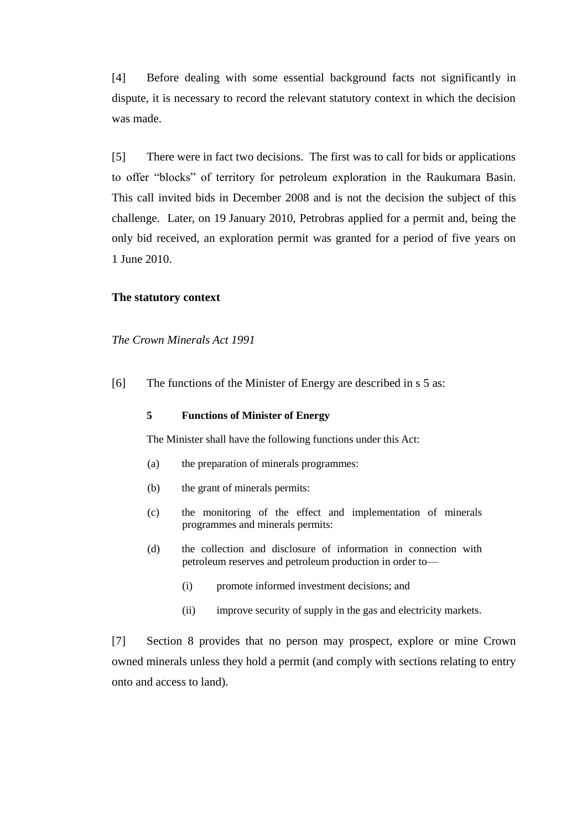[4] Before dealing with some essential background facts not significantly in dispute, it is necessary to record the relevant statutory context in which the decision was made.

[5] There were in fact two decisions. The first was to call for bids or applications to offer "blocks" of territory for petroleum exploration in the Raukumara Basin. This call invited bids in December 2008 and is not the decision the subject of this challenge. Later, on 19 January 2010, Petrobras applied for a permit and, being the only bid received, an exploration permit was granted for a period of five years on 1 June 2010.

#### **The statutory context**

*The Crown Minerals Act 1991*

<span id="page-2-0"></span>[6] The functions of the Minister of Energy are described in s 5 as:

#### **5 Functions of Minister of Energy**

The Minister shall have the following functions under this Act:

- (a) the preparation of minerals programmes:
- (b) the grant of minerals permits:
- (c) the monitoring of the effect and implementation of minerals programmes and minerals permits:
- (d) the collection and disclosure of information in connection with petroleum reserves and petroleum production in order to—
	- (i) promote informed investment decisions; and
	- (ii) improve security of supply in the gas and electricity markets.

[7] Section 8 provides that no person may prospect, explore or mine Crown owned minerals unless they hold a permit (and comply with sections relating to entry onto and access to land).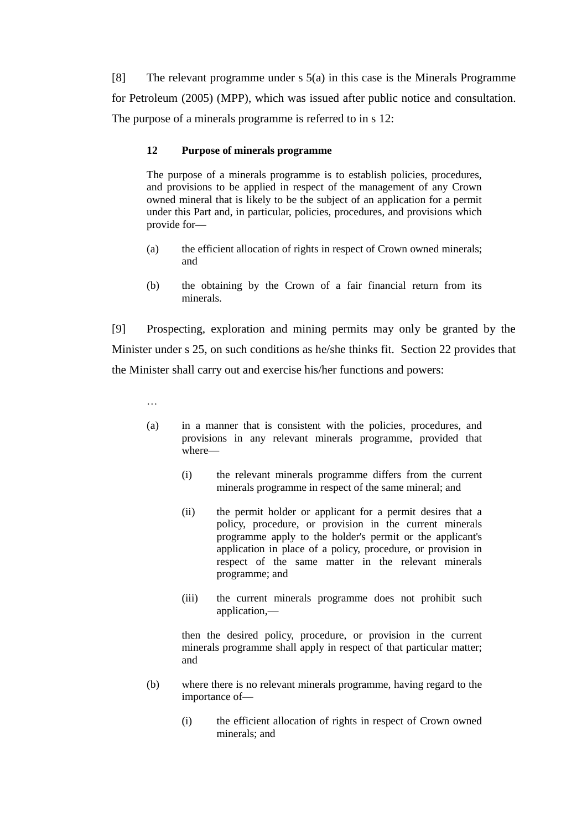[8] The relevant programme under s 5(a) in this case is the Minerals Programme for Petroleum (2005) (MPP), which was issued after public notice and consultation. The purpose of a minerals programme is referred to in s 12:

# **12 Purpose of minerals programme**

The purpose of a minerals programme is to establish policies, procedures, and provisions to be applied in respect of the management of any Crown owned mineral that is likely to be the subject of an application for a permit under this Part and, in particular, policies, procedures, and provisions which provide for—

- (a) the efficient allocation of rights in respect of Crown owned minerals; and
- (b) the obtaining by the Crown of a fair financial return from its minerals.

[9] Prospecting, exploration and mining permits may only be granted by the Minister under s 25, on such conditions as he/she thinks fit. Section 22 provides that the Minister shall carry out and exercise his/her functions and powers:

…

- (a) in a manner that is consistent with the policies, procedures, and provisions in any relevant minerals programme, provided that where—
	- (i) the relevant minerals programme differs from the current minerals programme in respect of the same mineral; and
	- (ii) the permit holder or applicant for a permit desires that a policy, procedure, or provision in the current minerals programme apply to the holder's permit or the applicant's application in place of a policy, procedure, or provision in respect of the same matter in the relevant minerals programme; and
	- (iii) the current minerals programme does not prohibit such application,—

then the desired policy, procedure, or provision in the current minerals programme shall apply in respect of that particular matter; and

- (b) where there is no relevant minerals programme, having regard to the importance of—
	- (i) the efficient allocation of rights in respect of Crown owned minerals; and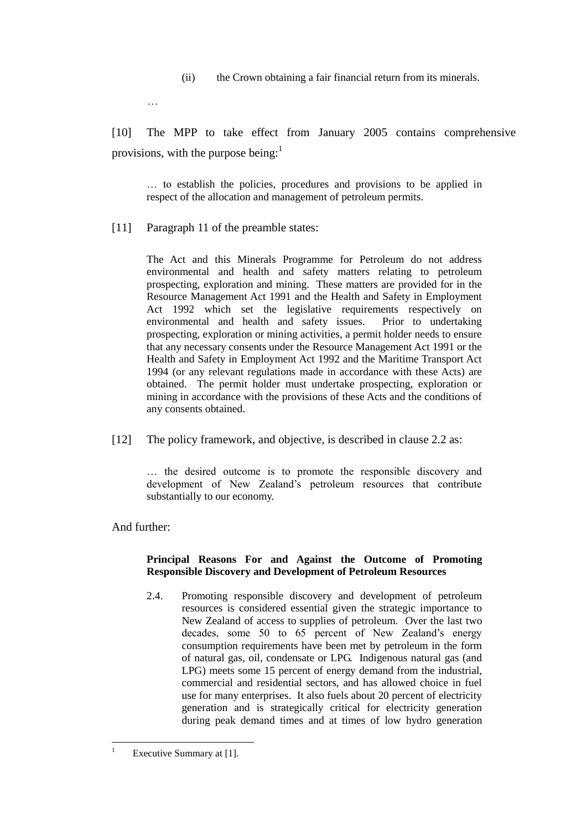(ii) the Crown obtaining a fair financial return from its minerals.

…

[10] The MPP to take effect from January 2005 contains comprehensive provisions, with the purpose being: $<sup>1</sup>$ </sup>

… to establish the policies, procedures and provisions to be applied in respect of the allocation and management of petroleum permits.

<span id="page-4-0"></span>[11] Paragraph 11 of the preamble states:

The Act and this Minerals Programme for Petroleum do not address environmental and health and safety matters relating to petroleum prospecting, exploration and mining. These matters are provided for in the Resource Management Act 1991 and the Health and Safety in Employment Act 1992 which set the legislative requirements respectively on environmental and health and safety issues. Prior to undertaking prospecting, exploration or mining activities, a permit holder needs to ensure that any necessary consents under the Resource Management Act 1991 or the Health and Safety in Employment Act 1992 and the Maritime Transport Act 1994 (or any relevant regulations made in accordance with these Acts) are obtained. The permit holder must undertake prospecting, exploration or mining in accordance with the provisions of these Acts and the conditions of any consents obtained.

[12] The policy framework, and objective, is described in clause 2.2 as:

… the desired outcome is to promote the responsible discovery and development of New Zealand's petroleum resources that contribute substantially to our economy.

And further:

## **Principal Reasons For and Against the Outcome of Promoting Responsible Discovery and Development of Petroleum Resources**

2.4. Promoting responsible discovery and development of petroleum resources is considered essential given the strategic importance to New Zealand of access to supplies of petroleum. Over the last two decades, some 50 to 65 percent of New Zealand's energy consumption requirements have been met by petroleum in the form of natural gas, oil, condensate or LPG. Indigenous natural gas (and LPG) meets some 15 percent of energy demand from the industrial, commercial and residential sectors, and has allowed choice in fuel use for many enterprises. It also fuels about 20 percent of electricity generation and is strategically critical for electricity generation during peak demand times and at times of low hydro generation

 $\overline{1}$ Executive Summary at [1].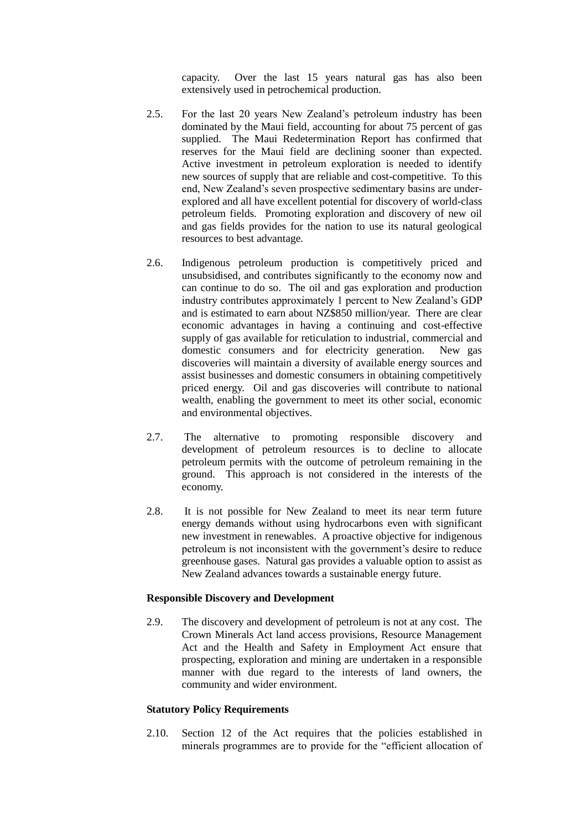capacity. Over the last 15 years natural gas has also been extensively used in petrochemical production.

- 2.5. For the last 20 years New Zealand's petroleum industry has been dominated by the Maui field, accounting for about 75 percent of gas supplied. The Maui Redetermination Report has confirmed that reserves for the Maui field are declining sooner than expected. Active investment in petroleum exploration is needed to identify new sources of supply that are reliable and cost-competitive. To this end, New Zealand's seven prospective sedimentary basins are underexplored and all have excellent potential for discovery of world-class petroleum fields. Promoting exploration and discovery of new oil and gas fields provides for the nation to use its natural geological resources to best advantage.
- 2.6. Indigenous petroleum production is competitively priced and unsubsidised, and contributes significantly to the economy now and can continue to do so. The oil and gas exploration and production industry contributes approximately 1 percent to New Zealand's GDP and is estimated to earn about NZ\$850 million/year. There are clear economic advantages in having a continuing and cost-effective supply of gas available for reticulation to industrial, commercial and domestic consumers and for electricity generation. New gas discoveries will maintain a diversity of available energy sources and assist businesses and domestic consumers in obtaining competitively priced energy. Oil and gas discoveries will contribute to national wealth, enabling the government to meet its other social, economic and environmental objectives.
- 2.7. The alternative to promoting responsible discovery and development of petroleum resources is to decline to allocate petroleum permits with the outcome of petroleum remaining in the ground. This approach is not considered in the interests of the economy.
- 2.8. It is not possible for New Zealand to meet its near term future energy demands without using hydrocarbons even with significant new investment in renewables. A proactive objective for indigenous petroleum is not inconsistent with the government's desire to reduce greenhouse gases. Natural gas provides a valuable option to assist as New Zealand advances towards a sustainable energy future.

#### **Responsible Discovery and Development**

2.9. The discovery and development of petroleum is not at any cost. The Crown Minerals Act land access provisions, Resource Management Act and the Health and Safety in Employment Act ensure that prospecting, exploration and mining are undertaken in a responsible manner with due regard to the interests of land owners, the community and wider environment.

#### **Statutory Policy Requirements**

2.10. Section 12 of the Act requires that the policies established in minerals programmes are to provide for the "efficient allocation of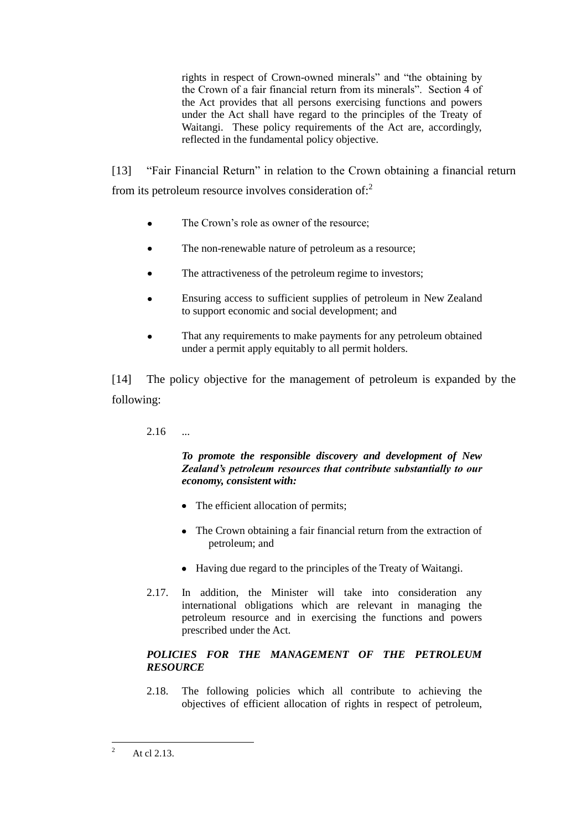rights in respect of Crown-owned minerals" and "the obtaining by the Crown of a fair financial return from its minerals". Section 4 of the Act provides that all persons exercising functions and powers under the Act shall have regard to the principles of the Treaty of Waitangi. These policy requirements of the Act are, accordingly, reflected in the fundamental policy objective.

[13] "Fair Financial Return" in relation to the Crown obtaining a financial return from its petroleum resource involves consideration of:<sup>2</sup>

- The Crown's role as owner of the resource;
- The non-renewable nature of petroleum as a resource;  $\bullet$
- $\bullet$ The attractiveness of the petroleum regime to investors;
- Ensuring access to sufficient supplies of petroleum in New Zealand to support economic and social development; and
- That any requirements to make payments for any petroleum obtained under a permit apply equitably to all permit holders.

[14] The policy objective for the management of petroleum is expanded by the following:

# $2.16$  ...

## *To promote the responsible discovery and development of New Zealand's petroleum resources that contribute substantially to our economy, consistent with:*

- The efficient allocation of permits;
- The Crown obtaining a fair financial return from the extraction of petroleum; and
- Having due regard to the principles of the Treaty of Waitangi.
- 2.17. In addition, the Minister will take into consideration any international obligations which are relevant in managing the petroleum resource and in exercising the functions and powers prescribed under the Act.

# *POLICIES FOR THE MANAGEMENT OF THE PETROLEUM RESOURCE*

2.18. The following policies which all contribute to achieving the objectives of efficient allocation of rights in respect of petroleum,

 $\overline{c}$ <sup>2</sup> At cl 2.13.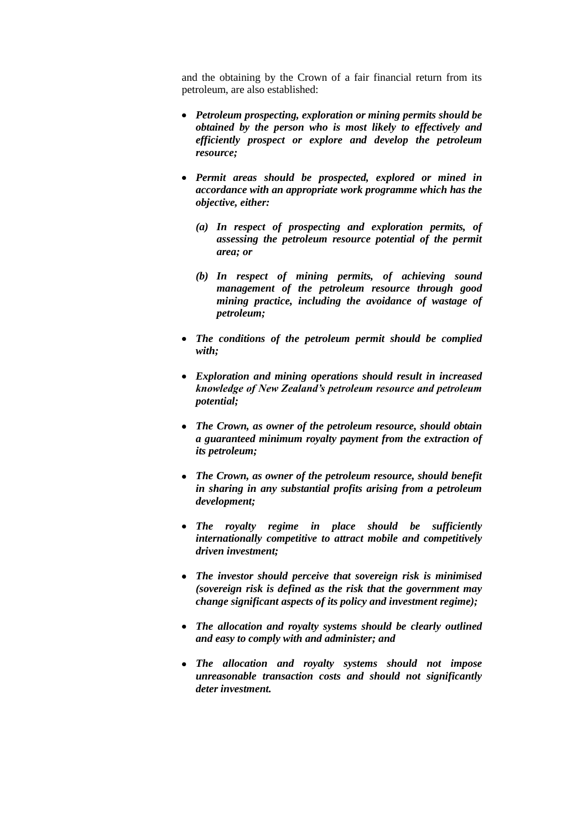and the obtaining by the Crown of a fair financial return from its petroleum, are also established:

- *Petroleum prospecting, exploration or mining permits should be obtained by the person who is most likely to effectively and efficiently prospect or explore and develop the petroleum resource;*
- *Permit areas should be prospected, explored or mined in accordance with an appropriate work programme which has the objective, either:* 
	- *(a) In respect of prospecting and exploration permits, of assessing the petroleum resource potential of the permit area; or*
	- *(b) In respect of mining permits, of achieving sound management of the petroleum resource through good mining practice, including the avoidance of wastage of petroleum;*
- *The conditions of the petroleum permit should be complied with;*
- *Exploration and mining operations should result in increased knowledge of New Zealand's petroleum resource and petroleum potential;*
- *The Crown, as owner of the petroleum resource, should obtain a guaranteed minimum royalty payment from the extraction of its petroleum;*
- *The Crown, as owner of the petroleum resource, should benefit in sharing in any substantial profits arising from a petroleum development;*
- *The royalty regime in place should be sufficiently internationally competitive to attract mobile and competitively driven investment;*
- *The investor should perceive that sovereign risk is minimised (sovereign risk is defined as the risk that the government may change significant aspects of its policy and investment regime);*
- *The allocation and royalty systems should be clearly outlined and easy to comply with and administer; and*
- *The allocation and royalty systems should not impose unreasonable transaction costs and should not significantly deter investment.*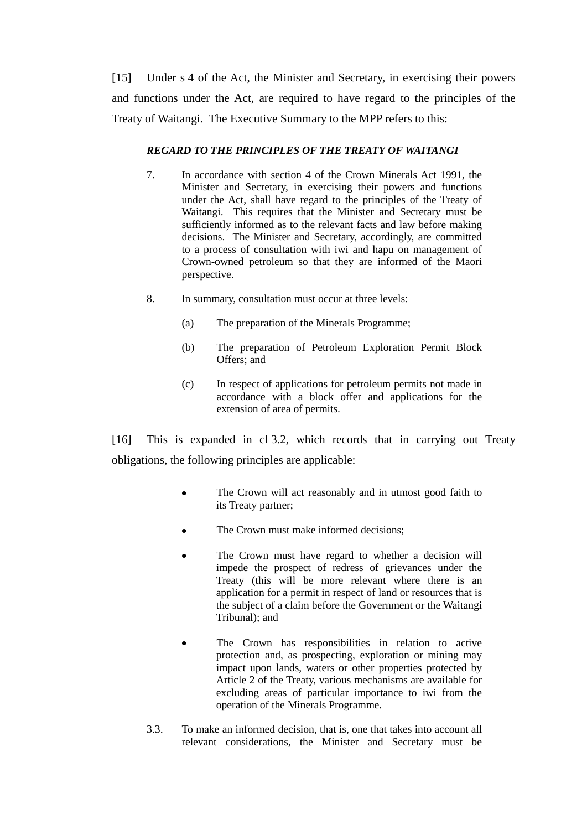[15] Under s 4 of the Act, the Minister and Secretary, in exercising their powers and functions under the Act, are required to have regard to the principles of the Treaty of Waitangi. The Executive Summary to the MPP refers to this:

# *REGARD TO THE PRINCIPLES OF THE TREATY OF WAITANGI*

- 7. In accordance with section 4 of the Crown Minerals Act 1991, the Minister and Secretary, in exercising their powers and functions under the Act, shall have regard to the principles of the Treaty of Waitangi. This requires that the Minister and Secretary must be sufficiently informed as to the relevant facts and law before making decisions. The Minister and Secretary, accordingly, are committed to a process of consultation with iwi and hapu on management of Crown-owned petroleum so that they are informed of the Maori perspective.
- 8. In summary, consultation must occur at three levels:
	- (a) The preparation of the Minerals Programme;
	- (b) The preparation of Petroleum Exploration Permit Block Offers; and
	- (c) In respect of applications for petroleum permits not made in accordance with a block offer and applications for the extension of area of permits.

<span id="page-8-0"></span>[16] This is expanded in cl 3.2, which records that in carrying out Treaty obligations, the following principles are applicable:

- The Crown will act reasonably and in utmost good faith to  $\bullet$ its Treaty partner;
- The Crown must make informed decisions;
- The Crown must have regard to whether a decision will impede the prospect of redress of grievances under the Treaty (this will be more relevant where there is an application for a permit in respect of land or resources that is the subject of a claim before the Government or the Waitangi Tribunal); and
- The Crown has responsibilities in relation to active protection and, as prospecting, exploration or mining may impact upon lands, waters or other properties protected by Article 2 of the Treaty, various mechanisms are available for excluding areas of particular importance to iwi from the operation of the Minerals Programme.
- 3.3. To make an informed decision, that is, one that takes into account all relevant considerations, the Minister and Secretary must be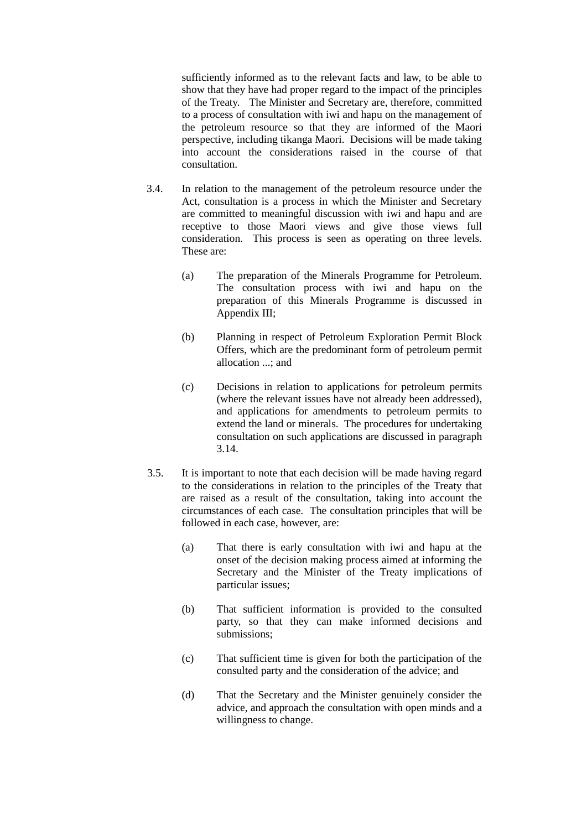sufficiently informed as to the relevant facts and law, to be able to show that they have had proper regard to the impact of the principles of the Treaty. The Minister and Secretary are, therefore, committed to a process of consultation with iwi and hapu on the management of the petroleum resource so that they are informed of the Maori perspective, including tikanga Maori. Decisions will be made taking into account the considerations raised in the course of that consultation.

- 3.4. In relation to the management of the petroleum resource under the Act, consultation is a process in which the Minister and Secretary are committed to meaningful discussion with iwi and hapu and are receptive to those Maori views and give those views full consideration. This process is seen as operating on three levels. These are:
	- (a) The preparation of the Minerals Programme for Petroleum. The consultation process with iwi and hapu on the preparation of this Minerals Programme is discussed in Appendix III;
	- (b) Planning in respect of Petroleum Exploration Permit Block Offers, which are the predominant form of petroleum permit allocation ...; and
	- (c) Decisions in relation to applications for petroleum permits (where the relevant issues have not already been addressed), and applications for amendments to petroleum permits to extend the land or minerals. The procedures for undertaking consultation on such applications are discussed in paragraph 3.14.
- 3.5. It is important to note that each decision will be made having regard to the considerations in relation to the principles of the Treaty that are raised as a result of the consultation, taking into account the circumstances of each case. The consultation principles that will be followed in each case, however, are:
	- (a) That there is early consultation with iwi and hapu at the onset of the decision making process aimed at informing the Secretary and the Minister of the Treaty implications of particular issues;
	- (b) That sufficient information is provided to the consulted party, so that they can make informed decisions and submissions;
	- (c) That sufficient time is given for both the participation of the consulted party and the consideration of the advice; and
	- (d) That the Secretary and the Minister genuinely consider the advice, and approach the consultation with open minds and a willingness to change.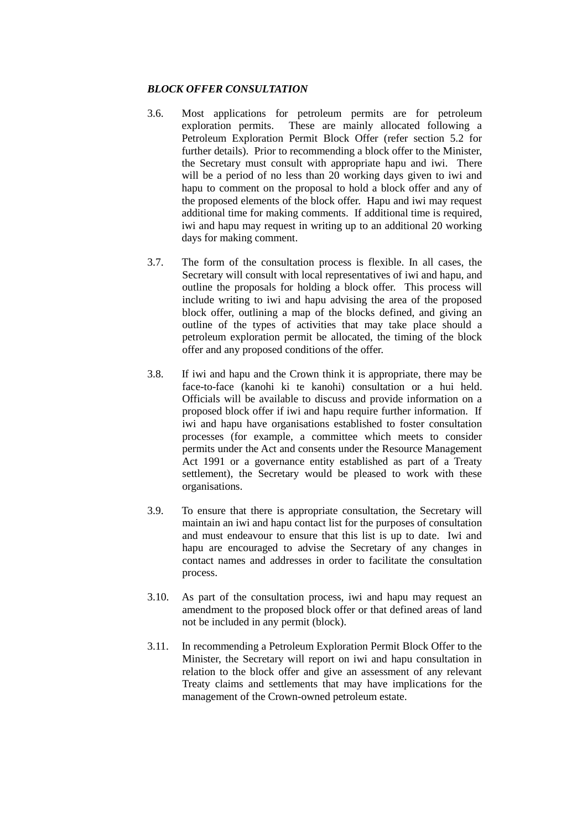### *BLOCK OFFER CONSULTATION*

- 3.6. Most applications for petroleum permits are for petroleum exploration permits. These are mainly allocated following a Petroleum Exploration Permit Block Offer (refer section 5.2 for further details). Prior to recommending a block offer to the Minister, the Secretary must consult with appropriate hapu and iwi. There will be a period of no less than 20 working days given to iwi and hapu to comment on the proposal to hold a block offer and any of the proposed elements of the block offer. Hapu and iwi may request additional time for making comments. If additional time is required, iwi and hapu may request in writing up to an additional 20 working days for making comment.
- 3.7. The form of the consultation process is flexible. In all cases, the Secretary will consult with local representatives of iwi and hapu, and outline the proposals for holding a block offer. This process will include writing to iwi and hapu advising the area of the proposed block offer, outlining a map of the blocks defined, and giving an outline of the types of activities that may take place should a petroleum exploration permit be allocated, the timing of the block offer and any proposed conditions of the offer.
- 3.8. If iwi and hapu and the Crown think it is appropriate, there may be face-to-face (kanohi ki te kanohi) consultation or a hui held. Officials will be available to discuss and provide information on a proposed block offer if iwi and hapu require further information. If iwi and hapu have organisations established to foster consultation processes (for example, a committee which meets to consider permits under the Act and consents under the Resource Management Act 1991 or a governance entity established as part of a Treaty settlement), the Secretary would be pleased to work with these organisations.
- 3.9. To ensure that there is appropriate consultation, the Secretary will maintain an iwi and hapu contact list for the purposes of consultation and must endeavour to ensure that this list is up to date. Iwi and hapu are encouraged to advise the Secretary of any changes in contact names and addresses in order to facilitate the consultation process.
- 3.10. As part of the consultation process, iwi and hapu may request an amendment to the proposed block offer or that defined areas of land not be included in any permit (block).
- 3.11. In recommending a Petroleum Exploration Permit Block Offer to the Minister, the Secretary will report on iwi and hapu consultation in relation to the block offer and give an assessment of any relevant Treaty claims and settlements that may have implications for the management of the Crown-owned petroleum estate.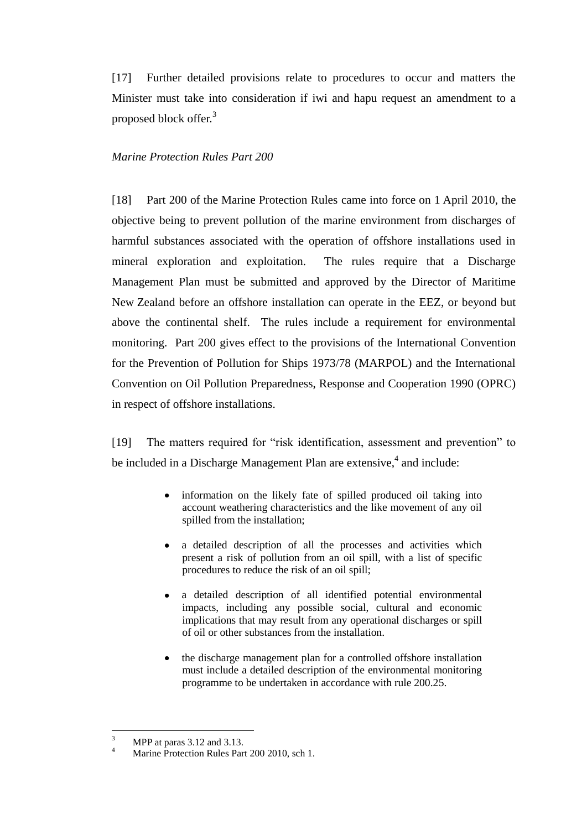[17] Further detailed provisions relate to procedures to occur and matters the Minister must take into consideration if iwi and hapu request an amendment to a proposed block offer.<sup>3</sup>

## *Marine Protection Rules Part 200*

<span id="page-11-0"></span>[18] Part 200 of the Marine Protection Rules came into force on 1 April 2010, the objective being to prevent pollution of the marine environment from discharges of harmful substances associated with the operation of offshore installations used in mineral exploration and exploitation. The rules require that a Discharge Management Plan must be submitted and approved by the Director of Maritime New Zealand before an offshore installation can operate in the EEZ, or beyond but above the continental shelf. The rules include a requirement for environmental monitoring. Part 200 gives effect to the provisions of the International Convention for the Prevention of Pollution for Ships 1973/78 (MARPOL) and the International Convention on Oil Pollution Preparedness, Response and Cooperation 1990 (OPRC) in respect of offshore installations.

<span id="page-11-1"></span>[19] The matters required for "risk identification, assessment and prevention" to be included in a Discharge Management Plan are extensive,<sup>4</sup> and include:

- information on the likely fate of spilled produced oil taking into account weathering characteristics and the like movement of any oil spilled from the installation;
- a detailed description of all the processes and activities which present a risk of pollution from an oil spill, with a list of specific procedures to reduce the risk of an oil spill;
- a detailed description of all identified potential environmental impacts, including any possible social, cultural and economic implications that may result from any operational discharges or spill of oil or other substances from the installation.
- the discharge management plan for a controlled offshore installation must include a detailed description of the environmental monitoring programme to be undertaken in accordance with rule 200.25.

 $\overline{\mathbf{3}}$  $\frac{3}{4}$  MPP at paras 3.12 and 3.13.

Marine Protection Rules Part 200 2010, sch 1.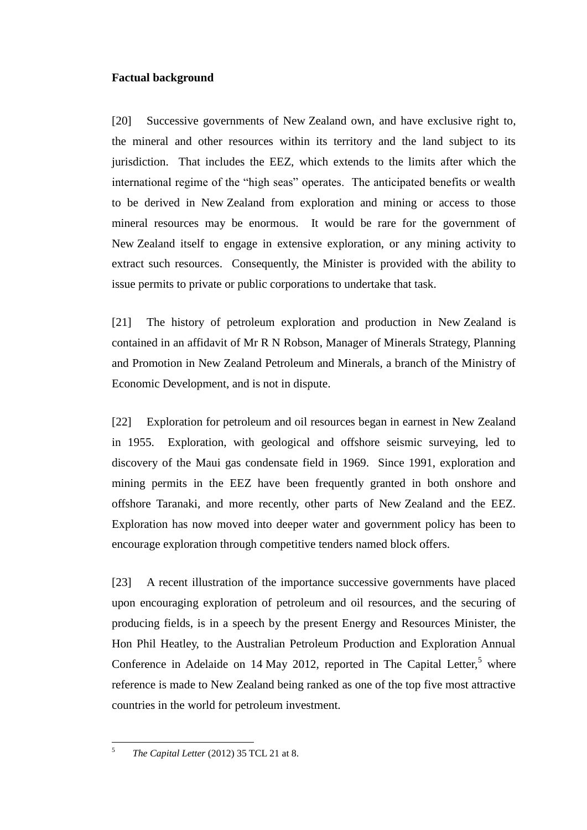# **Factual background**

<span id="page-12-0"></span>[20] Successive governments of New Zealand own, and have exclusive right to, the mineral and other resources within its territory and the land subject to its jurisdiction. That includes the EEZ, which extends to the limits after which the international regime of the "high seas" operates. The anticipated benefits or wealth to be derived in New Zealand from exploration and mining or access to those mineral resources may be enormous. It would be rare for the government of New Zealand itself to engage in extensive exploration, or any mining activity to extract such resources. Consequently, the Minister is provided with the ability to issue permits to private or public corporations to undertake that task.

[21] The history of petroleum exploration and production in New Zealand is contained in an affidavit of Mr R N Robson, Manager of Minerals Strategy, Planning and Promotion in New Zealand Petroleum and Minerals, a branch of the Ministry of Economic Development, and is not in dispute.

[22] Exploration for petroleum and oil resources began in earnest in New Zealand in 1955. Exploration, with geological and offshore seismic surveying, led to discovery of the Maui gas condensate field in 1969. Since 1991, exploration and mining permits in the EEZ have been frequently granted in both onshore and offshore Taranaki, and more recently, other parts of New Zealand and the EEZ. Exploration has now moved into deeper water and government policy has been to encourage exploration through competitive tenders named block offers.

[23] A recent illustration of the importance successive governments have placed upon encouraging exploration of petroleum and oil resources, and the securing of producing fields, is in a speech by the present Energy and Resources Minister, the Hon Phil Heatley, to the Australian Petroleum Production and Exploration Annual Conference in Adelaide on 14 May 2012, reported in The Capital Letter, $5$  where reference is made to New Zealand being ranked as one of the top five most attractive countries in the world for petroleum investment.

 $\frac{1}{5}$ *The Capital Letter* (2012) 35 TCL 21 at 8.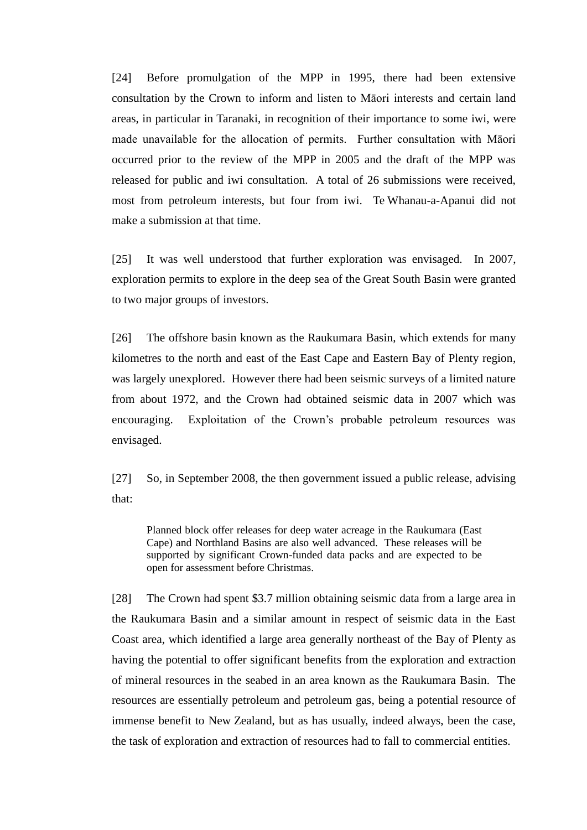[24] Before promulgation of the MPP in 1995, there had been extensive consultation by the Crown to inform and listen to Māori interests and certain land areas, in particular in Taranaki, in recognition of their importance to some iwi, were made unavailable for the allocation of permits. Further consultation with Māori occurred prior to the review of the MPP in 2005 and the draft of the MPP was released for public and iwi consultation. A total of 26 submissions were received, most from petroleum interests, but four from iwi. Te Whanau-a-Apanui did not make a submission at that time.

[25] It was well understood that further exploration was envisaged. In 2007, exploration permits to explore in the deep sea of the Great South Basin were granted to two major groups of investors.

[26] The offshore basin known as the Raukumara Basin, which extends for many kilometres to the north and east of the East Cape and Eastern Bay of Plenty region, was largely unexplored. However there had been seismic surveys of a limited nature from about 1972, and the Crown had obtained seismic data in 2007 which was encouraging. Exploitation of the Crown's probable petroleum resources was envisaged.

[27] So, in September 2008, the then government issued a public release, advising that:

Planned block offer releases for deep water acreage in the Raukumara (East Cape) and Northland Basins are also well advanced. These releases will be supported by significant Crown-funded data packs and are expected to be open for assessment before Christmas.

[28] The Crown had spent \$3.7 million obtaining seismic data from a large area in the Raukumara Basin and a similar amount in respect of seismic data in the East Coast area, which identified a large area generally northeast of the Bay of Plenty as having the potential to offer significant benefits from the exploration and extraction of mineral resources in the seabed in an area known as the Raukumara Basin. The resources are essentially petroleum and petroleum gas, being a potential resource of immense benefit to New Zealand, but as has usually, indeed always, been the case, the task of exploration and extraction of resources had to fall to commercial entities.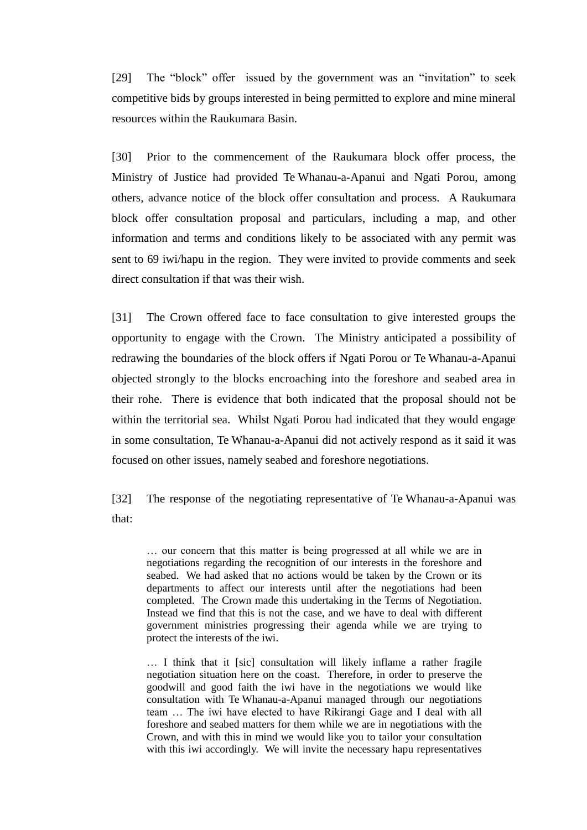[29] The "block" offer issued by the government was an "invitation" to seek competitive bids by groups interested in being permitted to explore and mine mineral resources within the Raukumara Basin.

[30] Prior to the commencement of the Raukumara block offer process, the Ministry of Justice had provided Te Whanau-a-Apanui and Ngati Porou, among others, advance notice of the block offer consultation and process. A Raukumara block offer consultation proposal and particulars, including a map, and other information and terms and conditions likely to be associated with any permit was sent to 69 iwi/hapu in the region. They were invited to provide comments and seek direct consultation if that was their wish.

[31] The Crown offered face to face consultation to give interested groups the opportunity to engage with the Crown. The Ministry anticipated a possibility of redrawing the boundaries of the block offers if Ngati Porou or Te Whanau-a-Apanui objected strongly to the blocks encroaching into the foreshore and seabed area in their rohe. There is evidence that both indicated that the proposal should not be within the territorial sea. Whilst Ngati Porou had indicated that they would engage in some consultation, Te Whanau-a-Apanui did not actively respond as it said it was focused on other issues, namely seabed and foreshore negotiations.

[32] The response of the negotiating representative of Te Whanau-a-Apanui was that:

… our concern that this matter is being progressed at all while we are in negotiations regarding the recognition of our interests in the foreshore and seabed. We had asked that no actions would be taken by the Crown or its departments to affect our interests until after the negotiations had been completed. The Crown made this undertaking in the Terms of Negotiation. Instead we find that this is not the case, and we have to deal with different government ministries progressing their agenda while we are trying to protect the interests of the iwi.

… I think that it [sic] consultation will likely inflame a rather fragile negotiation situation here on the coast. Therefore, in order to preserve the goodwill and good faith the iwi have in the negotiations we would like consultation with Te Whanau-a-Apanui managed through our negotiations team … The iwi have elected to have Rikirangi Gage and I deal with all foreshore and seabed matters for them while we are in negotiations with the Crown, and with this in mind we would like you to tailor your consultation with this iwi accordingly. We will invite the necessary hapu representatives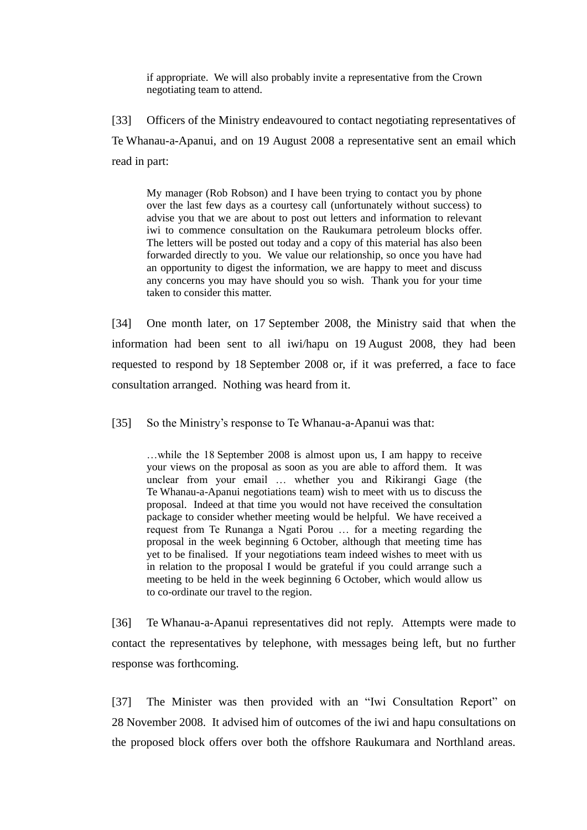if appropriate. We will also probably invite a representative from the Crown negotiating team to attend.

[33] Officers of the Ministry endeavoured to contact negotiating representatives of Te Whanau-a-Apanui, and on 19 August 2008 a representative sent an email which read in part:

My manager (Rob Robson) and I have been trying to contact you by phone over the last few days as a courtesy call (unfortunately without success) to advise you that we are about to post out letters and information to relevant iwi to commence consultation on the Raukumara petroleum blocks offer. The letters will be posted out today and a copy of this material has also been forwarded directly to you. We value our relationship, so once you have had an opportunity to digest the information, we are happy to meet and discuss any concerns you may have should you so wish. Thank you for your time taken to consider this matter.

[34] One month later, on 17 September 2008, the Ministry said that when the information had been sent to all iwi/hapu on 19 August 2008, they had been requested to respond by 18 September 2008 or, if it was preferred, a face to face consultation arranged. Nothing was heard from it.

[35] So the Ministry's response to Te Whanau-a-Apanui was that:

…while the 18 September 2008 is almost upon us, I am happy to receive your views on the proposal as soon as you are able to afford them. It was unclear from your email … whether you and Rikirangi Gage (the Te Whanau-a-Apanui negotiations team) wish to meet with us to discuss the proposal. Indeed at that time you would not have received the consultation package to consider whether meeting would be helpful. We have received a request from Te Runanga a Ngati Porou … for a meeting regarding the proposal in the week beginning 6 October, although that meeting time has yet to be finalised. If your negotiations team indeed wishes to meet with us in relation to the proposal I would be grateful if you could arrange such a meeting to be held in the week beginning 6 October, which would allow us to co-ordinate our travel to the region.

[36] Te Whanau-a-Apanui representatives did not reply. Attempts were made to contact the representatives by telephone, with messages being left, but no further response was forthcoming.

[37] The Minister was then provided with an "Iwi Consultation Report" on 28 November 2008. It advised him of outcomes of the iwi and hapu consultations on the proposed block offers over both the offshore Raukumara and Northland areas.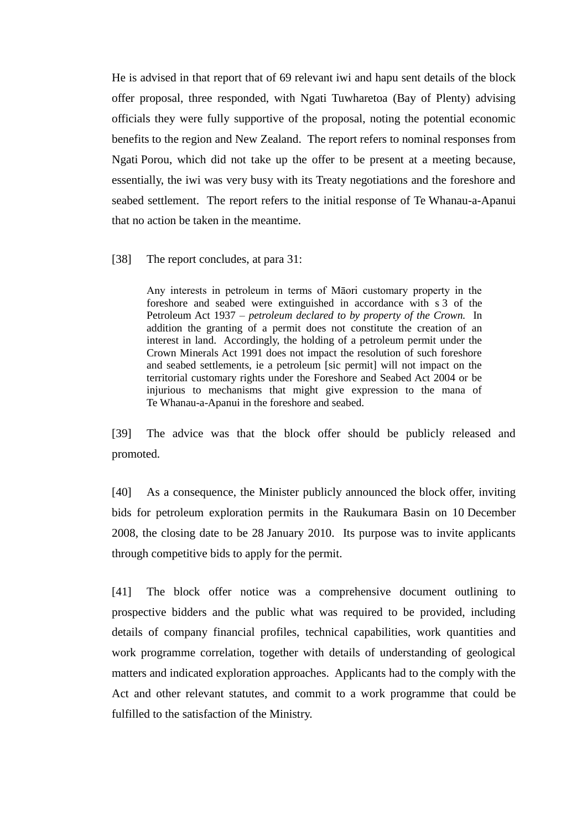He is advised in that report that of 69 relevant iwi and hapu sent details of the block offer proposal, three responded, with Ngati Tuwharetoa (Bay of Plenty) advising officials they were fully supportive of the proposal, noting the potential economic benefits to the region and New Zealand. The report refers to nominal responses from Ngati Porou, which did not take up the offer to be present at a meeting because, essentially, the iwi was very busy with its Treaty negotiations and the foreshore and seabed settlement. The report refers to the initial response of Te Whanau-a-Apanui that no action be taken in the meantime.

[38] The report concludes, at para 31:

Any interests in petroleum in terms of Māori customary property in the foreshore and seabed were extinguished in accordance with s 3 of the Petroleum Act 1937 – *petroleum declared to by property of the Crown.* In addition the granting of a permit does not constitute the creation of an interest in land. Accordingly, the holding of a petroleum permit under the Crown Minerals Act 1991 does not impact the resolution of such foreshore and seabed settlements, ie a petroleum [sic permit] will not impact on the territorial customary rights under the Foreshore and Seabed Act 2004 or be injurious to mechanisms that might give expression to the mana of Te Whanau-a-Apanui in the foreshore and seabed.

[39] The advice was that the block offer should be publicly released and promoted.

[40] As a consequence, the Minister publicly announced the block offer, inviting bids for petroleum exploration permits in the Raukumara Basin on 10 December 2008, the closing date to be 28 January 2010. Its purpose was to invite applicants through competitive bids to apply for the permit.

[41] The block offer notice was a comprehensive document outlining to prospective bidders and the public what was required to be provided, including details of company financial profiles, technical capabilities, work quantities and work programme correlation, together with details of understanding of geological matters and indicated exploration approaches. Applicants had to the comply with the Act and other relevant statutes, and commit to a work programme that could be fulfilled to the satisfaction of the Ministry.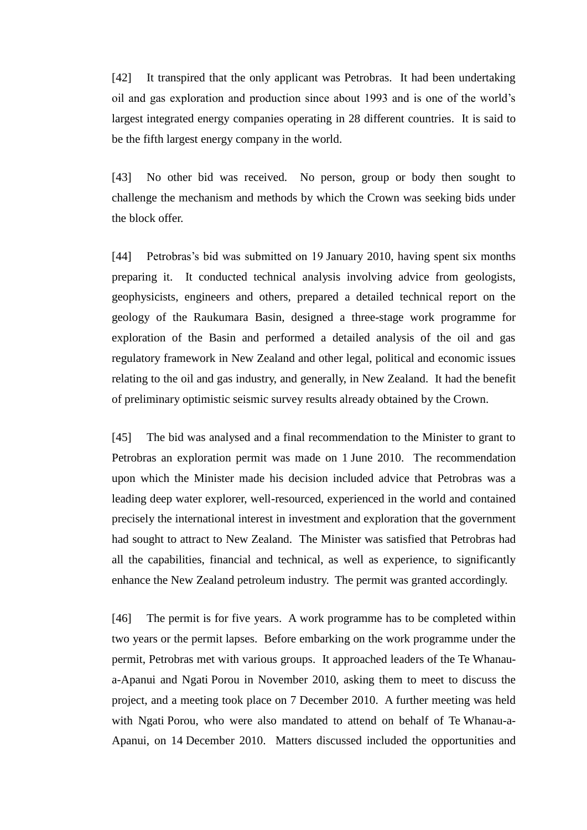[42] It transpired that the only applicant was Petrobras. It had been undertaking oil and gas exploration and production since about 1993 and is one of the world's largest integrated energy companies operating in 28 different countries. It is said to be the fifth largest energy company in the world.

[43] No other bid was received. No person, group or body then sought to challenge the mechanism and methods by which the Crown was seeking bids under the block offer.

[44] Petrobras's bid was submitted on 19 January 2010, having spent six months preparing it. It conducted technical analysis involving advice from geologists, geophysicists, engineers and others, prepared a detailed technical report on the geology of the Raukumara Basin, designed a three-stage work programme for exploration of the Basin and performed a detailed analysis of the oil and gas regulatory framework in New Zealand and other legal, political and economic issues relating to the oil and gas industry, and generally, in New Zealand. It had the benefit of preliminary optimistic seismic survey results already obtained by the Crown.

[45] The bid was analysed and a final recommendation to the Minister to grant to Petrobras an exploration permit was made on 1 June 2010. The recommendation upon which the Minister made his decision included advice that Petrobras was a leading deep water explorer, well-resourced, experienced in the world and contained precisely the international interest in investment and exploration that the government had sought to attract to New Zealand. The Minister was satisfied that Petrobras had all the capabilities, financial and technical, as well as experience, to significantly enhance the New Zealand petroleum industry. The permit was granted accordingly.

<span id="page-17-0"></span>[46] The permit is for five years. A work programme has to be completed within two years or the permit lapses. Before embarking on the work programme under the permit, Petrobras met with various groups. It approached leaders of the Te Whanaua-Apanui and Ngati Porou in November 2010, asking them to meet to discuss the project, and a meeting took place on 7 December 2010. A further meeting was held with Ngati Porou, who were also mandated to attend on behalf of Te Whanau-a-Apanui, on 14 December 2010. Matters discussed included the opportunities and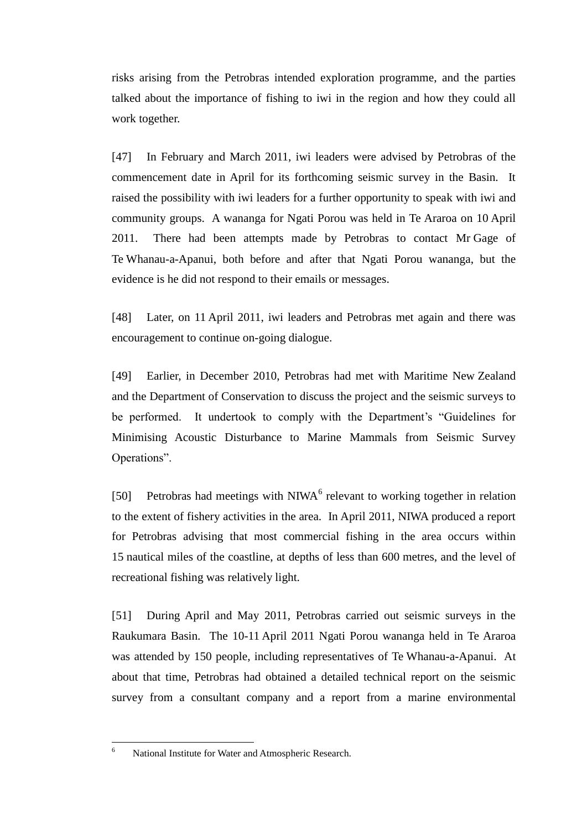risks arising from the Petrobras intended exploration programme, and the parties talked about the importance of fishing to iwi in the region and how they could all work together.

<span id="page-18-0"></span>[47] In February and March 2011, iwi leaders were advised by Petrobras of the commencement date in April for its forthcoming seismic survey in the Basin. It raised the possibility with iwi leaders for a further opportunity to speak with iwi and community groups. A wananga for Ngati Porou was held in Te Araroa on 10 April 2011. There had been attempts made by Petrobras to contact Mr Gage of Te Whanau-a-Apanui, both before and after that Ngati Porou wananga, but the evidence is he did not respond to their emails or messages.

[48] Later, on 11 April 2011, iwi leaders and Petrobras met again and there was encouragement to continue on-going dialogue.

[49] Earlier, in December 2010, Petrobras had met with Maritime New Zealand and the Department of Conservation to discuss the project and the seismic surveys to be performed. It undertook to comply with the Department's "Guidelines for Minimising Acoustic Disturbance to Marine Mammals from Seismic Survey Operations".

[50] Petrobras had meetings with  $NIWA<sup>6</sup>$  relevant to working together in relation to the extent of fishery activities in the area. In April 2011, NIWA produced a report for Petrobras advising that most commercial fishing in the area occurs within 15 nautical miles of the coastline, at depths of less than 600 metres, and the level of recreational fishing was relatively light.

[51] During April and May 2011, Petrobras carried out seismic surveys in the Raukumara Basin. The 10-11 April 2011 Ngati Porou wananga held in Te Araroa was attended by 150 people, including representatives of Te Whanau-a-Apanui. At about that time, Petrobras had obtained a detailed technical report on the seismic survey from a consultant company and a report from a marine environmental

 $\sqrt{6}$ 

National Institute for Water and Atmospheric Research.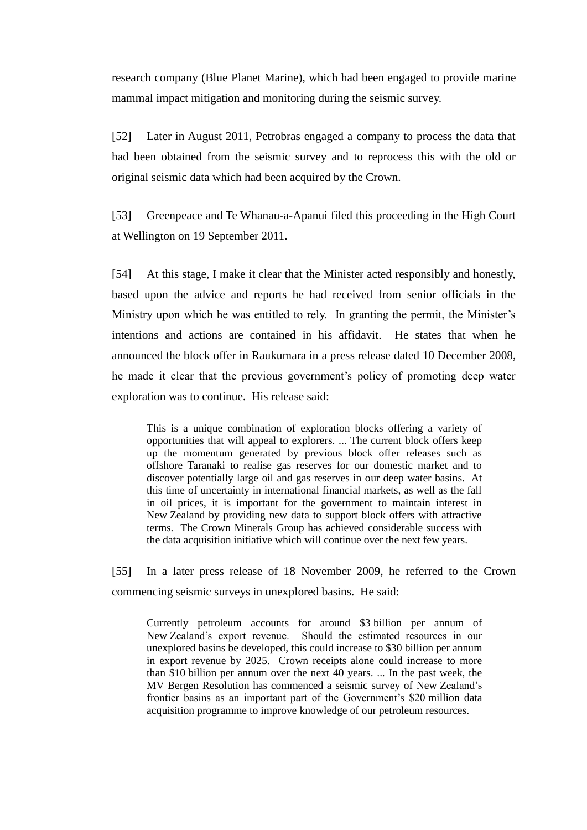research company (Blue Planet Marine), which had been engaged to provide marine mammal impact mitigation and monitoring during the seismic survey.

[52] Later in August 2011, Petrobras engaged a company to process the data that had been obtained from the seismic survey and to reprocess this with the old or original seismic data which had been acquired by the Crown.

[53] Greenpeace and Te Whanau-a-Apanui filed this proceeding in the High Court at Wellington on 19 September 2011.

[54] At this stage, I make it clear that the Minister acted responsibly and honestly, based upon the advice and reports he had received from senior officials in the Ministry upon which he was entitled to rely. In granting the permit, the Minister's intentions and actions are contained in his affidavit. He states that when he announced the block offer in Raukumara in a press release dated 10 December 2008, he made it clear that the previous government's policy of promoting deep water exploration was to continue. His release said:

This is a unique combination of exploration blocks offering a variety of opportunities that will appeal to explorers. ... The current block offers keep up the momentum generated by previous block offer releases such as offshore Taranaki to realise gas reserves for our domestic market and to discover potentially large oil and gas reserves in our deep water basins. At this time of uncertainty in international financial markets, as well as the fall in oil prices, it is important for the government to maintain interest in New Zealand by providing new data to support block offers with attractive terms. The Crown Minerals Group has achieved considerable success with the data acquisition initiative which will continue over the next few years.

[55] In a later press release of 18 November 2009, he referred to the Crown commencing seismic surveys in unexplored basins. He said:

Currently petroleum accounts for around \$3 billion per annum of New Zealand's export revenue. Should the estimated resources in our unexplored basins be developed, this could increase to \$30 billion per annum in export revenue by 2025. Crown receipts alone could increase to more than \$10 billion per annum over the next 40 years. ... In the past week, the MV Bergen Resolution has commenced a seismic survey of New Zealand's frontier basins as an important part of the Government's \$20 million data acquisition programme to improve knowledge of our petroleum resources.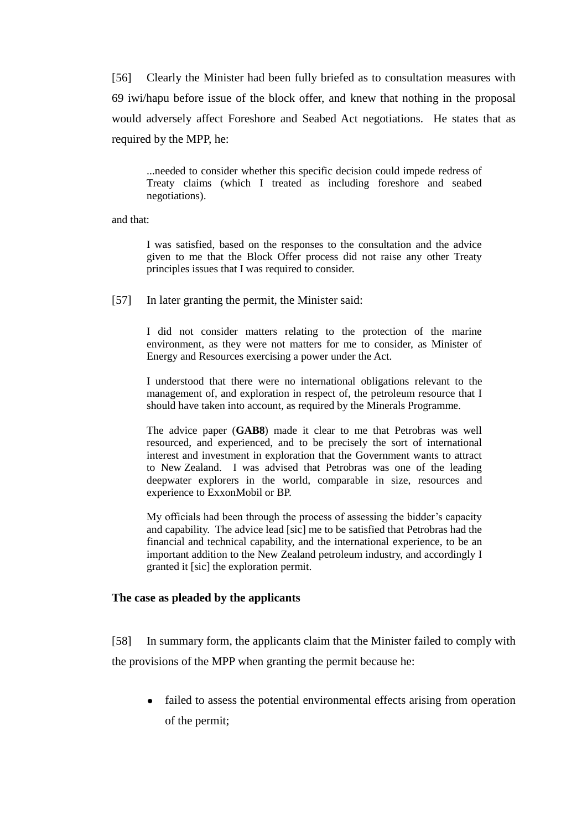[56] Clearly the Minister had been fully briefed as to consultation measures with 69 iwi/hapu before issue of the block offer, and knew that nothing in the proposal would adversely affect Foreshore and Seabed Act negotiations. He states that as required by the MPP, he:

...needed to consider whether this specific decision could impede redress of Treaty claims (which I treated as including foreshore and seabed negotiations).

and that:

I was satisfied, based on the responses to the consultation and the advice given to me that the Block Offer process did not raise any other Treaty principles issues that I was required to consider.

<span id="page-20-1"></span>[57] In later granting the permit, the Minister said:

I did not consider matters relating to the protection of the marine environment, as they were not matters for me to consider, as Minister of Energy and Resources exercising a power under the Act.

I understood that there were no international obligations relevant to the management of, and exploration in respect of, the petroleum resource that I should have taken into account, as required by the Minerals Programme.

The advice paper (**GAB8**) made it clear to me that Petrobras was well resourced, and experienced, and to be precisely the sort of international interest and investment in exploration that the Government wants to attract to New Zealand. I was advised that Petrobras was one of the leading deepwater explorers in the world, comparable in size, resources and experience to ExxonMobil or BP.

My officials had been through the process of assessing the bidder's capacity and capability. The advice lead [sic] me to be satisfied that Petrobras had the financial and technical capability, and the international experience, to be an important addition to the New Zealand petroleum industry, and accordingly I granted it [sic] the exploration permit.

# **The case as pleaded by the applicants**

<span id="page-20-0"></span>[58] In summary form, the applicants claim that the Minister failed to comply with the provisions of the MPP when granting the permit because he:

failed to assess the potential environmental effects arising from operation of the permit;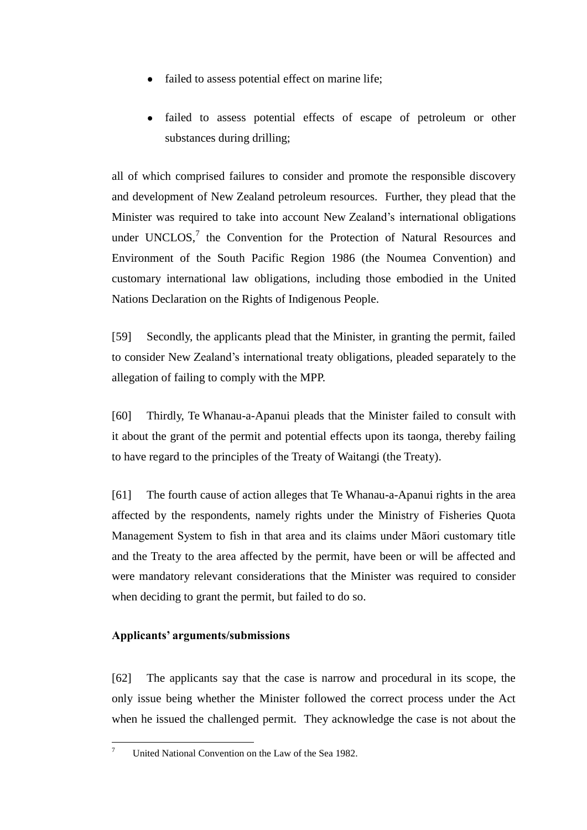- failed to assess potential effect on marine life;
- failed to assess potential effects of escape of petroleum or other substances during drilling;

all of which comprised failures to consider and promote the responsible discovery and development of New Zealand petroleum resources. Further, they plead that the Minister was required to take into account New Zealand's international obligations under UNCLOS, $^7$  the Convention for the Protection of Natural Resources and Environment of the South Pacific Region 1986 (the Noumea Convention) and customary international law obligations, including those embodied in the United Nations Declaration on the Rights of Indigenous People.

[59] Secondly, the applicants plead that the Minister, in granting the permit, failed to consider New Zealand's international treaty obligations, pleaded separately to the allegation of failing to comply with the MPP.

[60] Thirdly, Te Whanau-a-Apanui pleads that the Minister failed to consult with it about the grant of the permit and potential effects upon its taonga, thereby failing to have regard to the principles of the Treaty of Waitangi (the Treaty).

[61] The fourth cause of action alleges that Te Whanau-a-Apanui rights in the area affected by the respondents, namely rights under the Ministry of Fisheries Quota Management System to fish in that area and its claims under Māori customary title and the Treaty to the area affected by the permit, have been or will be affected and were mandatory relevant considerations that the Minister was required to consider when deciding to grant the permit, but failed to do so.

# **Applicants' arguments/submissions**

<span id="page-21-0"></span>[62] The applicants say that the case is narrow and procedural in its scope, the only issue being whether the Minister followed the correct process under the Act when he issued the challenged permit. They acknowledge the case is not about the

 $\overline{\tau}$ <sup>7</sup> United National Convention on the Law of the Sea 1982.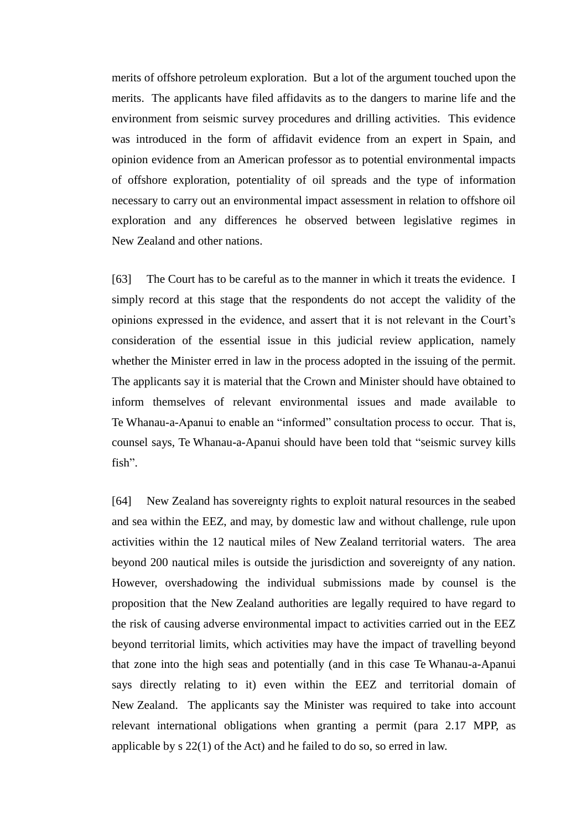merits of offshore petroleum exploration. But a lot of the argument touched upon the merits. The applicants have filed affidavits as to the dangers to marine life and the environment from seismic survey procedures and drilling activities. This evidence was introduced in the form of affidavit evidence from an expert in Spain, and opinion evidence from an American professor as to potential environmental impacts of offshore exploration, potentiality of oil spreads and the type of information necessary to carry out an environmental impact assessment in relation to offshore oil exploration and any differences he observed between legislative regimes in New Zealand and other nations.

[63] The Court has to be careful as to the manner in which it treats the evidence. I simply record at this stage that the respondents do not accept the validity of the opinions expressed in the evidence, and assert that it is not relevant in the Court's consideration of the essential issue in this judicial review application, namely whether the Minister erred in law in the process adopted in the issuing of the permit. The applicants say it is material that the Crown and Minister should have obtained to inform themselves of relevant environmental issues and made available to Te Whanau-a-Apanui to enable an "informed" consultation process to occur. That is, counsel says, Te Whanau-a-Apanui should have been told that "seismic survey kills fish".

[64] New Zealand has sovereignty rights to exploit natural resources in the seabed and sea within the EEZ, and may, by domestic law and without challenge, rule upon activities within the 12 nautical miles of New Zealand territorial waters. The area beyond 200 nautical miles is outside the jurisdiction and sovereignty of any nation. However, overshadowing the individual submissions made by counsel is the proposition that the New Zealand authorities are legally required to have regard to the risk of causing adverse environmental impact to activities carried out in the EEZ beyond territorial limits, which activities may have the impact of travelling beyond that zone into the high seas and potentially (and in this case Te Whanau-a-Apanui says directly relating to it) even within the EEZ and territorial domain of New Zealand. The applicants say the Minister was required to take into account relevant international obligations when granting a permit (para 2.17 MPP, as applicable by s 22(1) of the Act) and he failed to do so, so erred in law.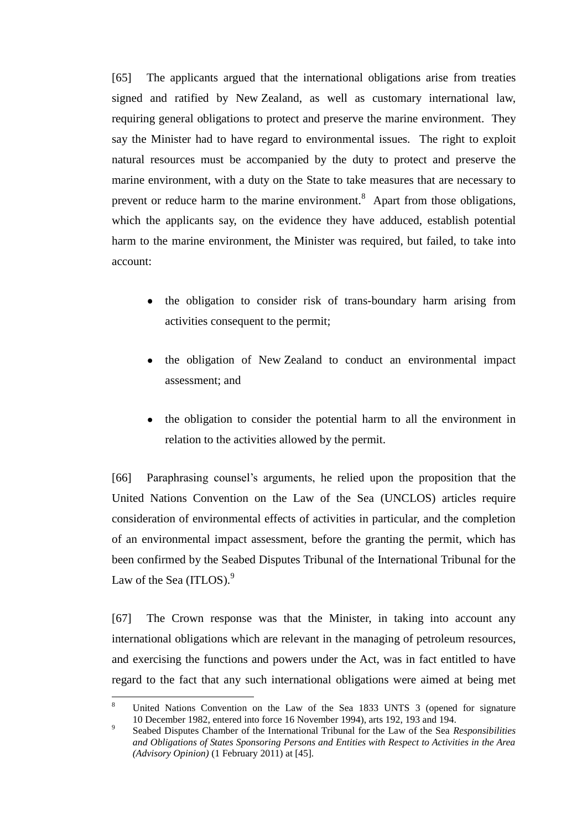[65] The applicants argued that the international obligations arise from treaties signed and ratified by New Zealand, as well as customary international law, requiring general obligations to protect and preserve the marine environment. They say the Minister had to have regard to environmental issues. The right to exploit natural resources must be accompanied by the duty to protect and preserve the marine environment, with a duty on the State to take measures that are necessary to prevent or reduce harm to the marine environment.<sup>8</sup> Apart from those obligations, which the applicants say, on the evidence they have adduced, establish potential harm to the marine environment, the Minister was required, but failed, to take into account:

- the obligation to consider risk of trans-boundary harm arising from activities consequent to the permit;
- the obligation of New Zealand to conduct an environmental impact assessment; and
- the obligation to consider the potential harm to all the environment in relation to the activities allowed by the permit.

[66] Paraphrasing counsel's arguments, he relied upon the proposition that the United Nations Convention on the Law of the Sea (UNCLOS) articles require consideration of environmental effects of activities in particular, and the completion of an environmental impact assessment, before the granting the permit, which has been confirmed by the Seabed Disputes Tribunal of the International Tribunal for the Law of the Sea (ITLOS). $9$ 

[67] The Crown response was that the Minister, in taking into account any international obligations which are relevant in the managing of petroleum resources, and exercising the functions and powers under the Act, was in fact entitled to have regard to the fact that any such international obligations were aimed at being met

 $\overline{a}$ 

<sup>8</sup> United Nations Convention on the Law of the Sea 1833 UNTS 3 (opened for signature 10 December 1982, entered into force 16 November 1994), arts 192, 193 and 194.

<sup>9</sup> Seabed Disputes Chamber of the International Tribunal for the Law of the Sea *Responsibilities and Obligations of States Sponsoring Persons and Entities with Respect to Activities in the Area (Advisory Opinion)* (1 February 2011) at [45].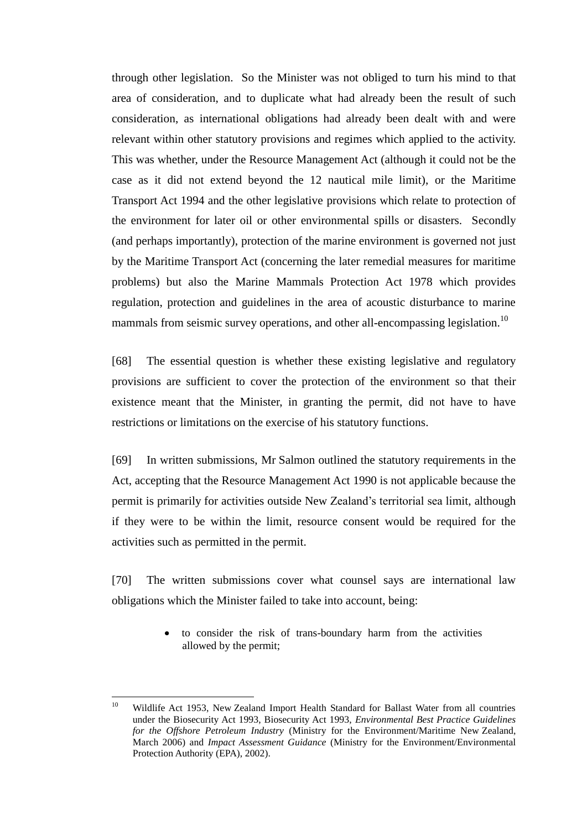through other legislation. So the Minister was not obliged to turn his mind to that area of consideration, and to duplicate what had already been the result of such consideration, as international obligations had already been dealt with and were relevant within other statutory provisions and regimes which applied to the activity. This was whether, under the Resource Management Act (although it could not be the case as it did not extend beyond the 12 nautical mile limit), or the Maritime Transport Act 1994 and the other legislative provisions which relate to protection of the environment for later oil or other environmental spills or disasters. Secondly (and perhaps importantly), protection of the marine environment is governed not just by the Maritime Transport Act (concerning the later remedial measures for maritime problems) but also the Marine Mammals Protection Act 1978 which provides regulation, protection and guidelines in the area of acoustic disturbance to marine mammals from seismic survey operations, and other all-encompassing legislation.<sup>10</sup>

[68] The essential question is whether these existing legislative and regulatory provisions are sufficient to cover the protection of the environment so that their existence meant that the Minister, in granting the permit, did not have to have restrictions or limitations on the exercise of his statutory functions.

[69] In written submissions, Mr Salmon outlined the statutory requirements in the Act, accepting that the Resource Management Act 1990 is not applicable because the permit is primarily for activities outside New Zealand's territorial sea limit, although if they were to be within the limit, resource consent would be required for the activities such as permitted in the permit.

[70] The written submissions cover what counsel says are international law obligations which the Minister failed to take into account, being:

> to consider the risk of trans-boundary harm from the activities allowed by the permit;

 $10<sup>10</sup>$ <sup>10</sup> Wildlife Act 1953, New Zealand Import Health Standard for Ballast Water from all countries under the Biosecurity Act 1993, Biosecurity Act 1993, *Environmental Best Practice Guidelines for the Offshore Petroleum Industry* (Ministry for the Environment/Maritime New Zealand, March 2006) and *Impact Assessment Guidance* (Ministry for the Environment/Environmental Protection Authority (EPA), 2002).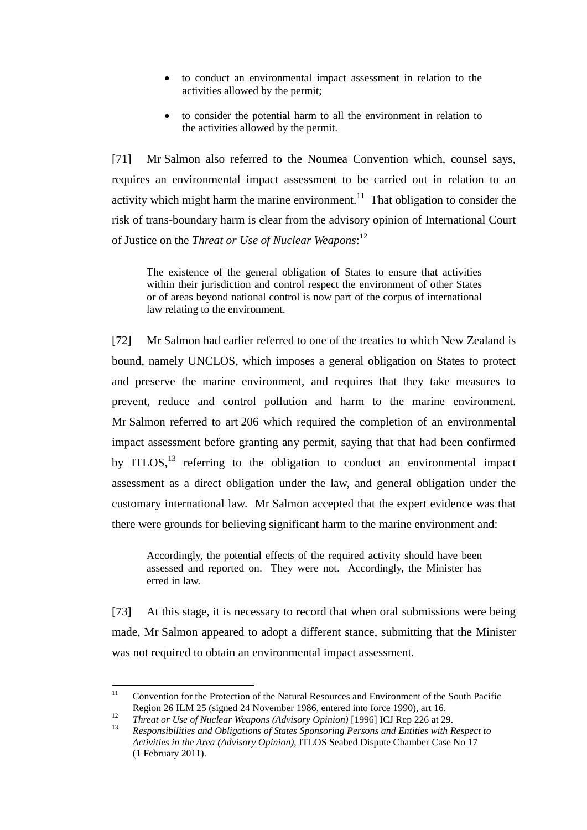- to conduct an environmental impact assessment in relation to the activities allowed by the permit;
- to consider the potential harm to all the environment in relation to the activities allowed by the permit.

[71] Mr Salmon also referred to the Noumea Convention which, counsel says, requires an environmental impact assessment to be carried out in relation to an activity which might harm the marine environment.<sup>11</sup> That obligation to consider the risk of trans-boundary harm is clear from the advisory opinion of International Court of Justice on the *Threat or Use of Nuclear Weapons*: 12

The existence of the general obligation of States to ensure that activities within their jurisdiction and control respect the environment of other States or of areas beyond national control is now part of the corpus of international law relating to the environment.

[72] Mr Salmon had earlier referred to one of the treaties to which New Zealand is bound, namely UNCLOS, which imposes a general obligation on States to protect and preserve the marine environment, and requires that they take measures to prevent, reduce and control pollution and harm to the marine environment. Mr Salmon referred to art 206 which required the completion of an environmental impact assessment before granting any permit, saying that that had been confirmed by ITLOS, $^{13}$  referring to the obligation to conduct an environmental impact assessment as a direct obligation under the law, and general obligation under the customary international law. Mr Salmon accepted that the expert evidence was that there were grounds for believing significant harm to the marine environment and:

Accordingly, the potential effects of the required activity should have been assessed and reported on. They were not. Accordingly, the Minister has erred in law.

[73] At this stage, it is necessary to record that when oral submissions were being made, Mr Salmon appeared to adopt a different stance, submitting that the Minister was not required to obtain an environmental impact assessment.

 $11$ <sup>11</sup> Convention for the Protection of the Natural Resources and Environment of the South Pacific Region 26 ILM 25 (signed 24 November 1986, entered into force 1990), art 16.

<sup>12</sup> *Threat or Use of Nuclear Weapons (Advisory Opinion)* [1996] ICJ Rep 226 at 29.

<sup>13</sup> *Responsibilities and Obligations of States Sponsoring Persons and Entities with Respect to Activities in the Area (Advisory Opinion)*, ITLOS Seabed Dispute Chamber Case No 17 (1 February 2011).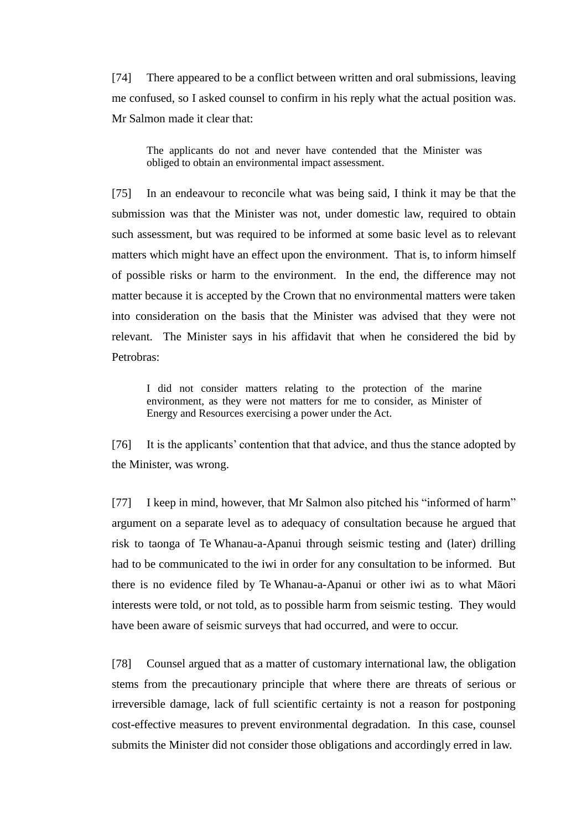[74] There appeared to be a conflict between written and oral submissions, leaving me confused, so I asked counsel to confirm in his reply what the actual position was. Mr Salmon made it clear that:

The applicants do not and never have contended that the Minister was obliged to obtain an environmental impact assessment.

[75] In an endeavour to reconcile what was being said, I think it may be that the submission was that the Minister was not, under domestic law, required to obtain such assessment, but was required to be informed at some basic level as to relevant matters which might have an effect upon the environment. That is, to inform himself of possible risks or harm to the environment. In the end, the difference may not matter because it is accepted by the Crown that no environmental matters were taken into consideration on the basis that the Minister was advised that they were not relevant. The Minister says in his affidavit that when he considered the bid by Petrobras:

I did not consider matters relating to the protection of the marine environment, as they were not matters for me to consider, as Minister of Energy and Resources exercising a power under the Act.

[76] It is the applicants' contention that that advice, and thus the stance adopted by the Minister, was wrong.

[77] I keep in mind, however, that Mr Salmon also pitched his "informed of harm" argument on a separate level as to adequacy of consultation because he argued that risk to taonga of Te Whanau-a-Apanui through seismic testing and (later) drilling had to be communicated to the iwi in order for any consultation to be informed. But there is no evidence filed by Te Whanau-a-Apanui or other iwi as to what Māori interests were told, or not told, as to possible harm from seismic testing. They would have been aware of seismic surveys that had occurred, and were to occur.

[78] Counsel argued that as a matter of customary international law, the obligation stems from the precautionary principle that where there are threats of serious or irreversible damage, lack of full scientific certainty is not a reason for postponing cost-effective measures to prevent environmental degradation. In this case, counsel submits the Minister did not consider those obligations and accordingly erred in law.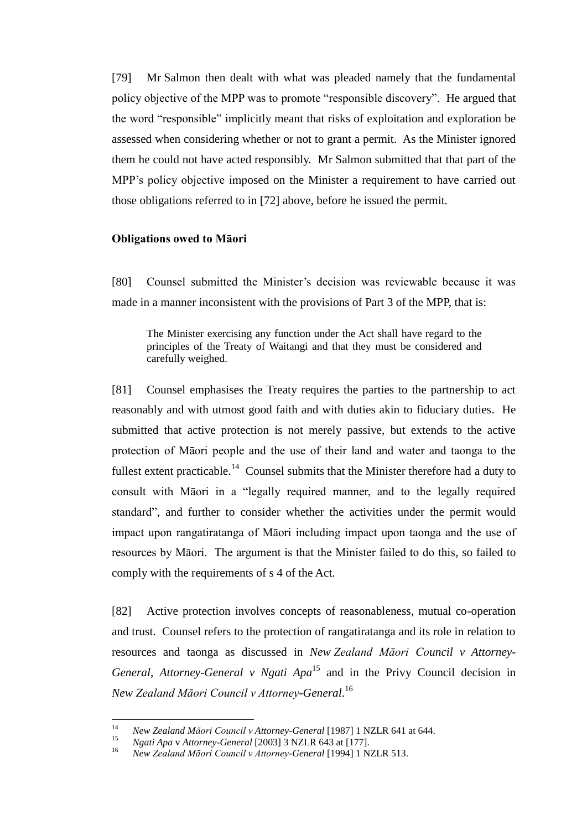[79] Mr Salmon then dealt with what was pleaded namely that the fundamental policy objective of the MPP was to promote "responsible discovery". He argued that the word "responsible" implicitly meant that risks of exploitation and exploration be assessed when considering whether or not to grant a permit. As the Minister ignored them he could not have acted responsibly. Mr Salmon submitted that that part of the MPP's policy objective imposed on the Minister a requirement to have carried out those obligations referred to in [72] above, before he issued the permit.

### **Obligations owed to Māori**

<span id="page-27-0"></span>[80] Counsel submitted the Minister's decision was reviewable because it was made in a manner inconsistent with the provisions of Part 3 of the MPP, that is:

The Minister exercising any function under the Act shall have regard to the principles of the Treaty of Waitangi and that they must be considered and carefully weighed.

[81] Counsel emphasises the Treaty requires the parties to the partnership to act reasonably and with utmost good faith and with duties akin to fiduciary duties. He submitted that active protection is not merely passive, but extends to the active protection of Māori people and the use of their land and water and taonga to the fullest extent practicable.<sup>14</sup> Counsel submits that the Minister therefore had a duty to consult with Māori in a "legally required manner, and to the legally required standard", and further to consider whether the activities under the permit would impact upon rangatiratanga of Māori including impact upon taonga and the use of resources by Māori. The argument is that the Minister failed to do this, so failed to comply with the requirements of s 4 of the Act.

[82] Active protection involves concepts of reasonableness, mutual co-operation and trust. Counsel refers to the protection of rangatiratanga and its role in relation to resources and taonga as discussed in *New Zealand Māori Council v Attorney-General, Attorney-General v Ngati Apa*<sup>15</sup> and in the Privy Council decision in *New Zealand Māori Council v Attorney-General*. 16

 $14$ <sup>14</sup> *New Zealand Māori Council v Attorney-General* [1987] 1 NZLR 641 at 644.

<sup>15</sup> *Ngati Apa* v *Attorney-General* [2003] 3 NZLR 643 at [177].

<sup>16</sup> *New Zealand Māori Council v Attorney-General* [1994] 1 NZLR 513.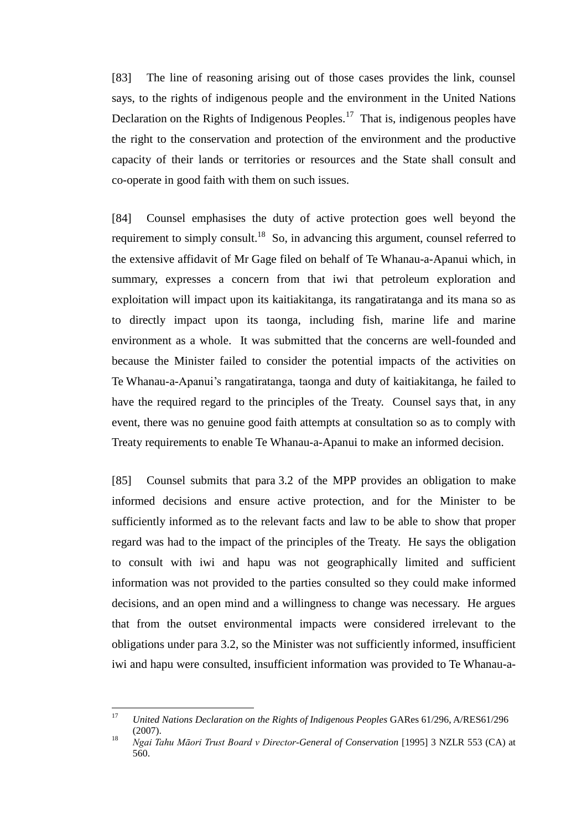[83] The line of reasoning arising out of those cases provides the link, counsel says, to the rights of indigenous people and the environment in the United Nations Declaration on the Rights of Indigenous Peoples.<sup>17</sup> That is, indigenous peoples have the right to the conservation and protection of the environment and the productive capacity of their lands or territories or resources and the State shall consult and co-operate in good faith with them on such issues.

[84] Counsel emphasises the duty of active protection goes well beyond the requirement to simply consult.<sup>18</sup> So, in advancing this argument, counsel referred to the extensive affidavit of Mr Gage filed on behalf of Te Whanau-a-Apanui which, in summary, expresses a concern from that iwi that petroleum exploration and exploitation will impact upon its kaitiakitanga, its rangatiratanga and its mana so as to directly impact upon its taonga, including fish, marine life and marine environment as a whole. It was submitted that the concerns are well-founded and because the Minister failed to consider the potential impacts of the activities on Te Whanau-a-Apanui's rangatiratanga, taonga and duty of kaitiakitanga, he failed to have the required regard to the principles of the Treaty. Counsel says that, in any event, there was no genuine good faith attempts at consultation so as to comply with Treaty requirements to enable Te Whanau-a-Apanui to make an informed decision.

[85] Counsel submits that para 3.2 of the MPP provides an obligation to make informed decisions and ensure active protection, and for the Minister to be sufficiently informed as to the relevant facts and law to be able to show that proper regard was had to the impact of the principles of the Treaty. He says the obligation to consult with iwi and hapu was not geographically limited and sufficient information was not provided to the parties consulted so they could make informed decisions, and an open mind and a willingness to change was necessary. He argues that from the outset environmental impacts were considered irrelevant to the obligations under para 3.2, so the Minister was not sufficiently informed, insufficient iwi and hapu were consulted, insufficient information was provided to Te Whanau-a-

 $17$ <sup>17</sup> *United Nations Declaration on the Rights of Indigenous Peoples* GARes 61/296, A/RES61/296 (2007).

<sup>18</sup> *Ngai Tahu Māori Trust Board v Director-General of Conservation* [1995] 3 NZLR 553 (CA) at 560.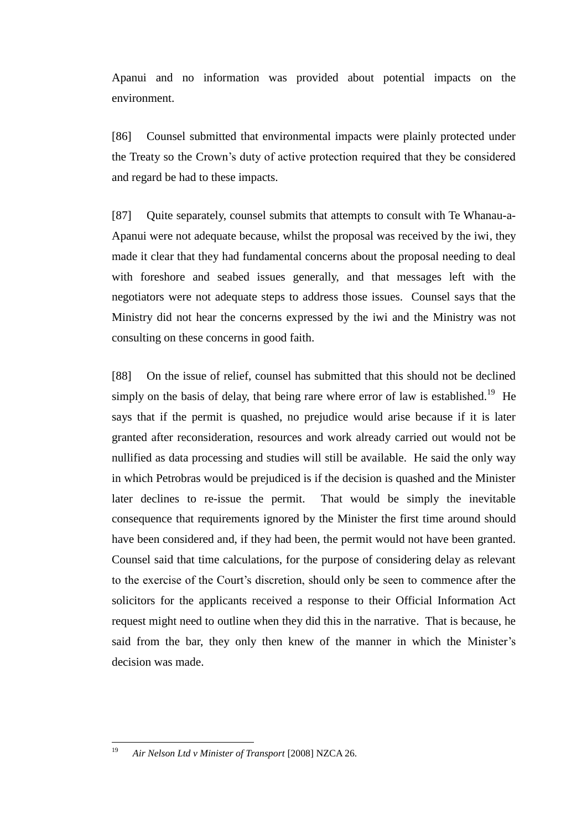Apanui and no information was provided about potential impacts on the environment.

[86] Counsel submitted that environmental impacts were plainly protected under the Treaty so the Crown's duty of active protection required that they be considered and regard be had to these impacts.

[87] Quite separately, counsel submits that attempts to consult with Te Whanau-a-Apanui were not adequate because, whilst the proposal was received by the iwi, they made it clear that they had fundamental concerns about the proposal needing to deal with foreshore and seabed issues generally, and that messages left with the negotiators were not adequate steps to address those issues. Counsel says that the Ministry did not hear the concerns expressed by the iwi and the Ministry was not consulting on these concerns in good faith.

[88] On the issue of relief, counsel has submitted that this should not be declined simply on the basis of delay, that being rare where error of law is established.<sup>19</sup> He says that if the permit is quashed, no prejudice would arise because if it is later granted after reconsideration, resources and work already carried out would not be nullified as data processing and studies will still be available. He said the only way in which Petrobras would be prejudiced is if the decision is quashed and the Minister later declines to re-issue the permit. That would be simply the inevitable consequence that requirements ignored by the Minister the first time around should have been considered and, if they had been, the permit would not have been granted. Counsel said that time calculations, for the purpose of considering delay as relevant to the exercise of the Court's discretion, should only be seen to commence after the solicitors for the applicants received a response to their Official Information Act request might need to outline when they did this in the narrative. That is because, he said from the bar, they only then knew of the manner in which the Minister's decision was made.

<sup>19</sup> <sup>19</sup> *Air Nelson Ltd v Minister of Transport* [2008] NZCA 26.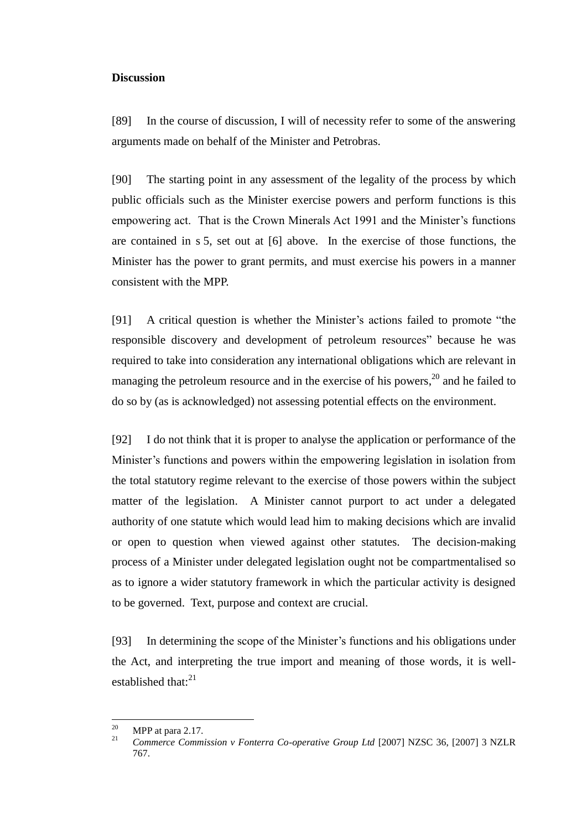### **Discussion**

<span id="page-30-0"></span>[89] In the course of discussion, I will of necessity refer to some of the answering arguments made on behalf of the Minister and Petrobras.

[90] The starting point in any assessment of the legality of the process by which public officials such as the Minister exercise powers and perform functions is this empowering act. That is the Crown Minerals Act 1991 and the Minister's functions are contained in s 5, set out at [\[6\]](#page-2-0) above. In the exercise of those functions, the Minister has the power to grant permits, and must exercise his powers in a manner consistent with the MPP.

[91] A critical question is whether the Minister's actions failed to promote "the responsible discovery and development of petroleum resources" because he was required to take into consideration any international obligations which are relevant in managing the petroleum resource and in the exercise of his powers,<sup>20</sup> and he failed to do so by (as is acknowledged) not assessing potential effects on the environment.

[92] I do not think that it is proper to analyse the application or performance of the Minister's functions and powers within the empowering legislation in isolation from the total statutory regime relevant to the exercise of those powers within the subject matter of the legislation. A Minister cannot purport to act under a delegated authority of one statute which would lead him to making decisions which are invalid or open to question when viewed against other statutes. The decision-making process of a Minister under delegated legislation ought not be compartmentalised so as to ignore a wider statutory framework in which the particular activity is designed to be governed. Text, purpose and context are crucial.

[93] In determining the scope of the Minister's functions and his obligations under the Act, and interpreting the true import and meaning of those words, it is wellestablished that: $^{21}$ 

<sup>20</sup>  $^{20}$  MPP at para 2.17.

<sup>21</sup> *Commerce Commission v Fonterra Co-operative Group Ltd* [2007] NZSC 36, [2007] 3 NZLR 767.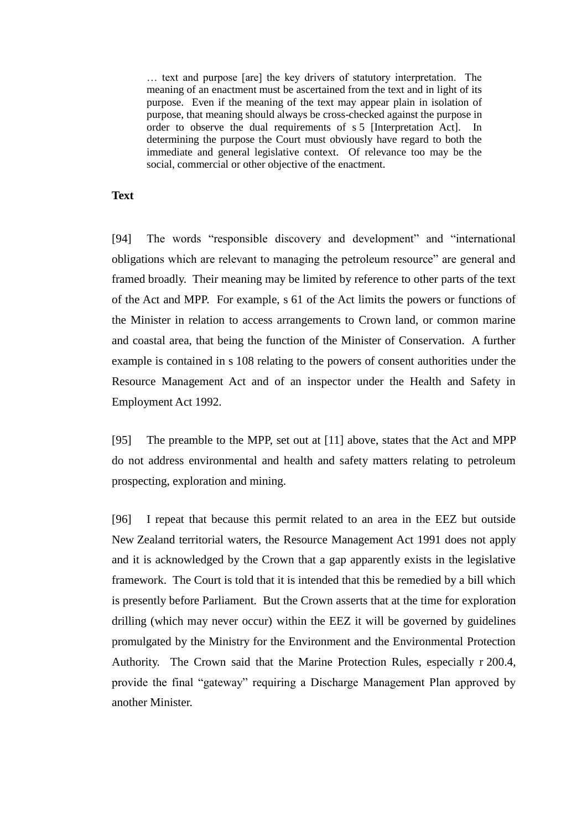… text and purpose [are] the key drivers of statutory interpretation. The meaning of an enactment must be ascertained from the text and in light of its purpose. Even if the meaning of the text may appear plain in isolation of purpose, that meaning should always be cross-checked against the purpose in order to observe the dual requirements of s 5 [Interpretation Act]. In determining the purpose the Court must obviously have regard to both the immediate and general legislative context. Of relevance too may be the social, commercial or other objective of the enactment.

### **Text**

<span id="page-31-0"></span>[94] The words "responsible discovery and development" and "international obligations which are relevant to managing the petroleum resource" are general and framed broadly. Their meaning may be limited by reference to other parts of the text of the Act and MPP. For example, s 61 of the Act limits the powers or functions of the Minister in relation to access arrangements to Crown land, or common marine and coastal area, that being the function of the Minister of Conservation. A further example is contained in s 108 relating to the powers of consent authorities under the Resource Management Act and of an inspector under the Health and Safety in Employment Act 1992.

[95] The preamble to the MPP, set out at [\[11\]](#page-4-0) above, states that the Act and MPP do not address environmental and health and safety matters relating to petroleum prospecting, exploration and mining.

[96] I repeat that because this permit related to an area in the EEZ but outside New Zealand territorial waters, the Resource Management Act 1991 does not apply and it is acknowledged by the Crown that a gap apparently exists in the legislative framework. The Court is told that it is intended that this be remedied by a bill which is presently before Parliament. But the Crown asserts that at the time for exploration drilling (which may never occur) within the EEZ it will be governed by guidelines promulgated by the Ministry for the Environment and the Environmental Protection Authority. The Crown said that the Marine Protection Rules, especially r 200.4, provide the final "gateway" requiring a Discharge Management Plan approved by another Minister.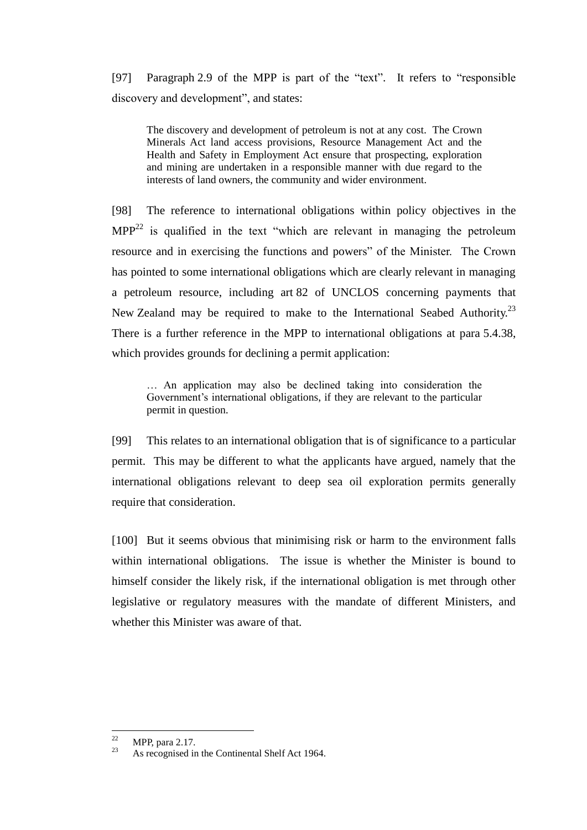[97] Paragraph 2.9 of the MPP is part of the "text". It refers to "responsible discovery and development", and states:

The discovery and development of petroleum is not at any cost. The Crown Minerals Act land access provisions, Resource Management Act and the Health and Safety in Employment Act ensure that prospecting, exploration and mining are undertaken in a responsible manner with due regard to the interests of land owners, the community and wider environment.

[98] The reference to international obligations within policy objectives in the  $MPP<sup>22</sup>$  is qualified in the text "which are relevant in managing the petroleum resource and in exercising the functions and powers" of the Minister. The Crown has pointed to some international obligations which are clearly relevant in managing a petroleum resource, including art 82 of UNCLOS concerning payments that New Zealand may be required to make to the International Seabed Authority.<sup>23</sup> There is a further reference in the MPP to international obligations at para 5.4.38, which provides grounds for declining a permit application:

… An application may also be declined taking into consideration the Government's international obligations, if they are relevant to the particular permit in question.

[99] This relates to an international obligation that is of significance to a particular permit. This may be different to what the applicants have argued, namely that the international obligations relevant to deep sea oil exploration permits generally require that consideration.

[100] But it seems obvious that minimising risk or harm to the environment falls within international obligations. The issue is whether the Minister is bound to himself consider the likely risk, if the international obligation is met through other legislative or regulatory measures with the mandate of different Ministers, and whether this Minister was aware of that.

 $22$  $\frac{22}{23}$  MPP, para 2.17.

As recognised in the Continental Shelf Act 1964.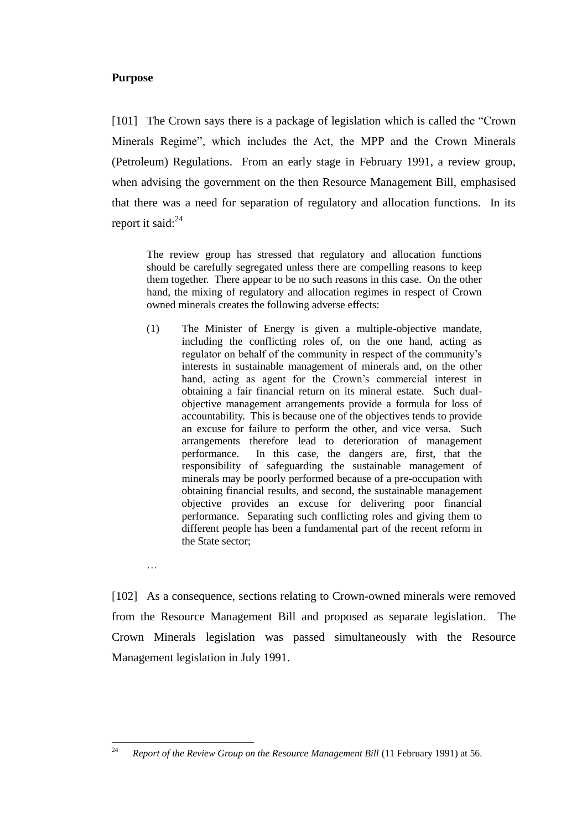# **Purpose**

…

<span id="page-33-0"></span>[101] The Crown says there is a package of legislation which is called the "Crown" Minerals Regime", which includes the Act, the MPP and the Crown Minerals (Petroleum) Regulations. From an early stage in February 1991, a review group, when advising the government on the then Resource Management Bill, emphasised that there was a need for separation of regulatory and allocation functions. In its report it said: $^{24}$ 

The review group has stressed that regulatory and allocation functions should be carefully segregated unless there are compelling reasons to keep them together. There appear to be no such reasons in this case. On the other hand, the mixing of regulatory and allocation regimes in respect of Crown owned minerals creates the following adverse effects:

(1) The Minister of Energy is given a multiple-objective mandate, including the conflicting roles of, on the one hand, acting as regulator on behalf of the community in respect of the community's interests in sustainable management of minerals and, on the other hand, acting as agent for the Crown's commercial interest in obtaining a fair financial return on its mineral estate. Such dualobjective management arrangements provide a formula for loss of accountability. This is because one of the objectives tends to provide an excuse for failure to perform the other, and vice versa. Such arrangements therefore lead to deterioration of management performance. In this case, the dangers are, first, that the responsibility of safeguarding the sustainable management of minerals may be poorly performed because of a pre-occupation with obtaining financial results, and second, the sustainable management objective provides an excuse for delivering poor financial performance. Separating such conflicting roles and giving them to different people has been a fundamental part of the recent reform in the State sector;

[102] As a consequence, sections relating to Crown-owned minerals were removed from the Resource Management Bill and proposed as separate legislation. The Crown Minerals legislation was passed simultaneously with the Resource Management legislation in July 1991.

<sup>24</sup> <sup>24</sup> *Report of the Review Group on the Resource Management Bill* (11 February 1991) at 56.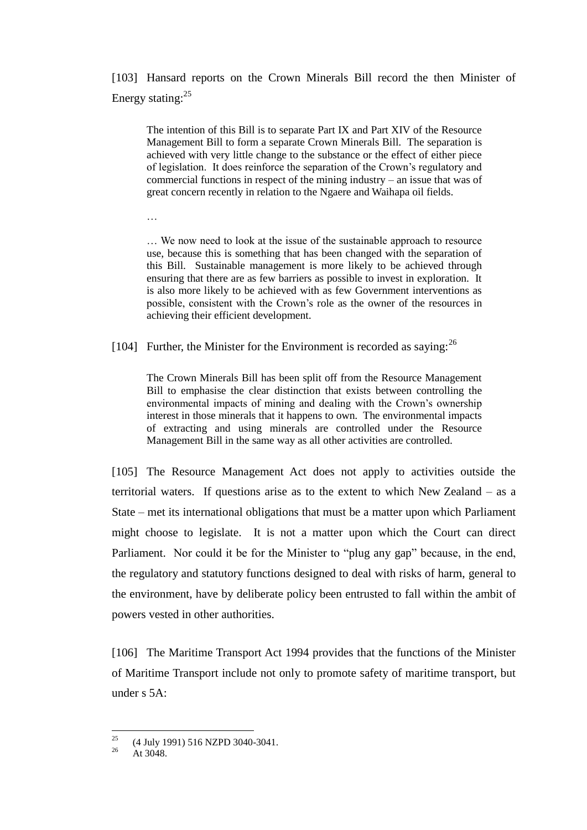[103] Hansard reports on the Crown Minerals Bill record the then Minister of Energy stating:<sup>25</sup>

The intention of this Bill is to separate Part IX and Part XIV of the Resource Management Bill to form a separate Crown Minerals Bill. The separation is achieved with very little change to the substance or the effect of either piece of legislation. It does reinforce the separation of the Crown's regulatory and commercial functions in respect of the mining industry – an issue that was of great concern recently in relation to the Ngaere and Waihapa oil fields.

…

… We now need to look at the issue of the sustainable approach to resource use, because this is something that has been changed with the separation of this Bill. Sustainable management is more likely to be achieved through ensuring that there are as few barriers as possible to invest in exploration. It is also more likely to be achieved with as few Government interventions as possible, consistent with the Crown's role as the owner of the resources in achieving their efficient development.

[104] Further, the Minister for the Environment is recorded as saying:  $^{26}$ 

The Crown Minerals Bill has been split off from the Resource Management Bill to emphasise the clear distinction that exists between controlling the environmental impacts of mining and dealing with the Crown's ownership interest in those minerals that it happens to own. The environmental impacts of extracting and using minerals are controlled under the Resource Management Bill in the same way as all other activities are controlled.

[105] The Resource Management Act does not apply to activities outside the territorial waters. If questions arise as to the extent to which New Zealand – as a State – met its international obligations that must be a matter upon which Parliament might choose to legislate. It is not a matter upon which the Court can direct Parliament. Nor could it be for the Minister to "plug any gap" because, in the end, the regulatory and statutory functions designed to deal with risks of harm, general to the environment, have by deliberate policy been entrusted to fall within the ambit of powers vested in other authorities.

[106] The Maritime Transport Act 1994 provides that the functions of the Minister of Maritime Transport include not only to promote safety of maritime transport, but under s 5A:

 $25$ <sup>25</sup> (4 July 1991) 516 NZPD 3040-3041.

At 3048.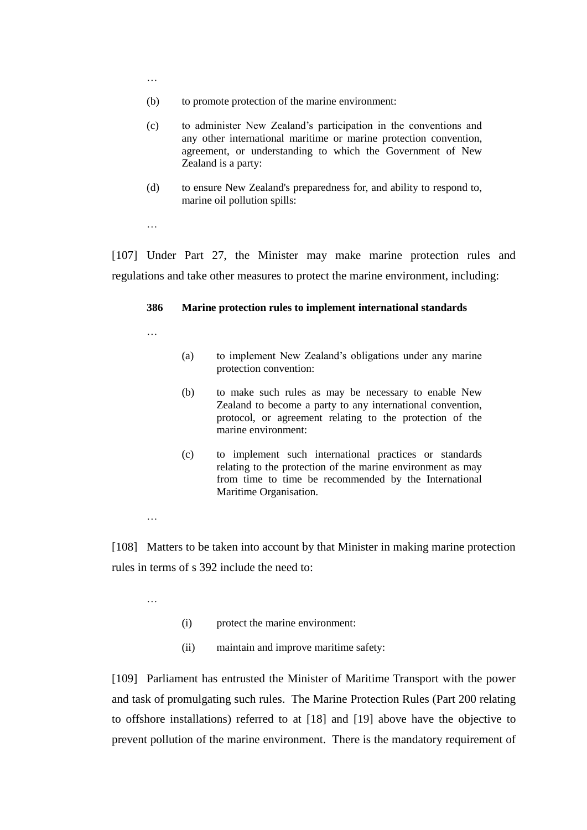- (b) to promote protection of the marine environment:
- (c) to administer New Zealand's participation in the conventions and any other international maritime or marine protection convention, agreement, or understanding to which the Government of New Zealand is a party:
- (d) to ensure New Zealand's preparedness for, and ability to respond to, marine oil pollution spills:

…

[107] Under Part 27, the Minister may make marine protection rules and regulations and take other measures to protect the marine environment, including:

### **386 Marine protection rules to implement international standards**

…

- (a) to implement New Zealand's obligations under any marine protection convention:
- (b) to make such rules as may be necessary to enable New Zealand to become a party to any international convention, protocol, or agreement relating to the protection of the marine environment:
- (c) to implement such international practices or standards relating to the protection of the marine environment as may from time to time be recommended by the International Maritime Organisation.

…

[108] Matters to be taken into account by that Minister in making marine protection rules in terms of s 392 include the need to:

…

- (i) protect the marine environment:
- (ii) maintain and improve maritime safety:

[109] Parliament has entrusted the Minister of Maritime Transport with the power and task of promulgating such rules. The Marine Protection Rules (Part 200 relating to offshore installations) referred to at [\[18\]](#page-11-0) and [\[19\]](#page-11-1) above have the objective to prevent pollution of the marine environment. There is the mandatory requirement of

…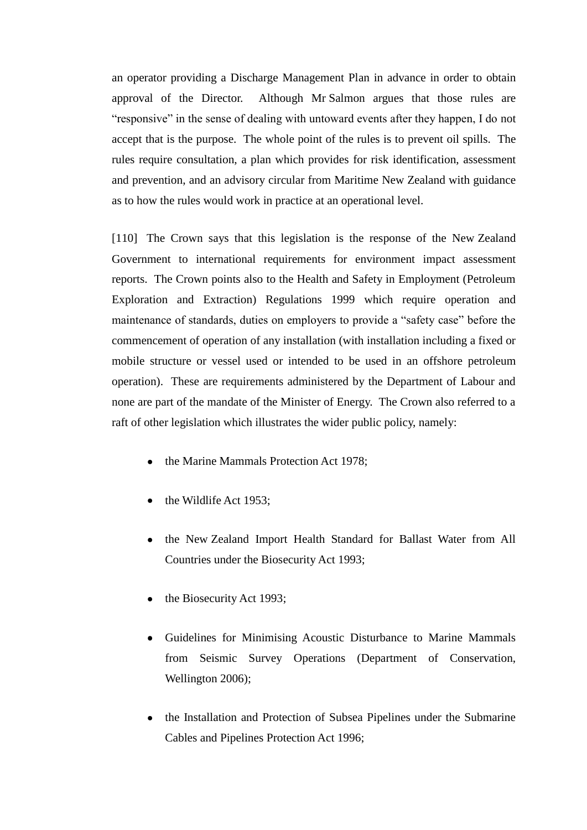an operator providing a Discharge Management Plan in advance in order to obtain approval of the Director. Although Mr Salmon argues that those rules are "responsive" in the sense of dealing with untoward events after they happen, I do not accept that is the purpose. The whole point of the rules is to prevent oil spills. The rules require consultation, a plan which provides for risk identification, assessment and prevention, and an advisory circular from Maritime New Zealand with guidance as to how the rules would work in practice at an operational level.

[110] The Crown says that this legislation is the response of the New Zealand Government to international requirements for environment impact assessment reports. The Crown points also to the Health and Safety in Employment (Petroleum Exploration and Extraction) Regulations 1999 which require operation and maintenance of standards, duties on employers to provide a "safety case" before the commencement of operation of any installation (with installation including a fixed or mobile structure or vessel used or intended to be used in an offshore petroleum operation). These are requirements administered by the Department of Labour and none are part of the mandate of the Minister of Energy. The Crown also referred to a raft of other legislation which illustrates the wider public policy, namely:

- the Marine Mammals Protection Act 1978;
- the Wildlife Act 1953;
- the New Zealand Import Health Standard for Ballast Water from All Countries under the Biosecurity Act 1993;
- $\bullet$  the Biosecurity Act 1993;
- Guidelines for Minimising Acoustic Disturbance to Marine Mammals from Seismic Survey Operations (Department of Conservation, Wellington 2006);
- the Installation and Protection of Subsea Pipelines under the Submarine Cables and Pipelines Protection Act 1996;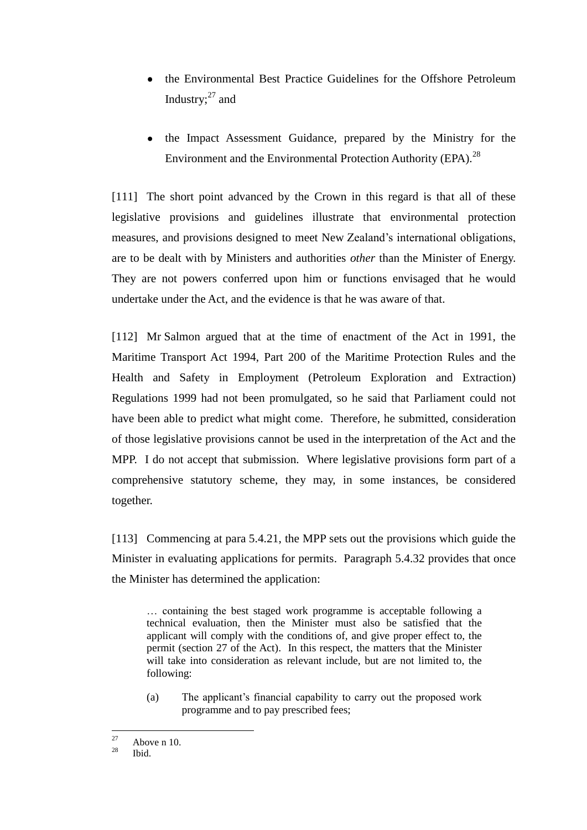- the Environmental Best Practice Guidelines for the Offshore Petroleum Industry: $27$  and
- the Impact Assessment Guidance, prepared by the Ministry for the Environment and the Environmental Protection Authority (EPA). $^{28}$

[111] The short point advanced by the Crown in this regard is that all of these legislative provisions and guidelines illustrate that environmental protection measures, and provisions designed to meet New Zealand's international obligations, are to be dealt with by Ministers and authorities *other* than the Minister of Energy. They are not powers conferred upon him or functions envisaged that he would undertake under the Act, and the evidence is that he was aware of that.

[112] Mr Salmon argued that at the time of enactment of the Act in 1991, the Maritime Transport Act 1994, Part 200 of the Maritime Protection Rules and the Health and Safety in Employment (Petroleum Exploration and Extraction) Regulations 1999 had not been promulgated, so he said that Parliament could not have been able to predict what might come. Therefore, he submitted, consideration of those legislative provisions cannot be used in the interpretation of the Act and the MPP. I do not accept that submission. Where legislative provisions form part of a comprehensive statutory scheme, they may, in some instances, be considered together.

[113] Commencing at para 5.4.21, the MPP sets out the provisions which guide the Minister in evaluating applications for permits. Paragraph 5.4.32 provides that once the Minister has determined the application:

… containing the best staged work programme is acceptable following a technical evaluation, then the Minister must also be satisfied that the applicant will comply with the conditions of, and give proper effect to, the permit (section 27 of the Act). In this respect, the matters that the Minister will take into consideration as relevant include, but are not limited to, the following:

(a) The applicant's financial capability to carry out the proposed work programme and to pay prescribed fees;

<sup>27</sup>  $\frac{27}{28}$  Above n 10.

Ibid.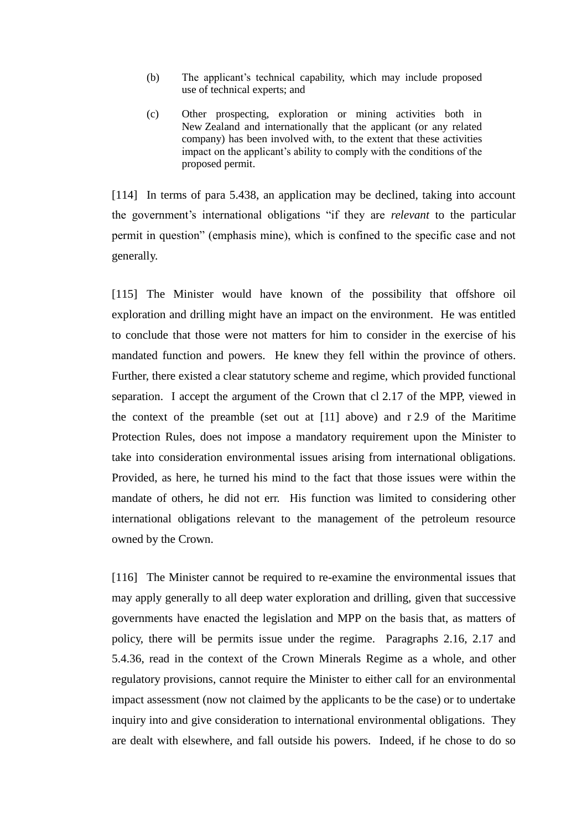- (b) The applicant's technical capability, which may include proposed use of technical experts; and
- (c) Other prospecting, exploration or mining activities both in New Zealand and internationally that the applicant (or any related company) has been involved with, to the extent that these activities impact on the applicant's ability to comply with the conditions of the proposed permit.

[114] In terms of para 5.438, an application may be declined, taking into account the government's international obligations "if they are *relevant* to the particular permit in question" (emphasis mine), which is confined to the specific case and not generally.

[115] The Minister would have known of the possibility that offshore oil exploration and drilling might have an impact on the environment. He was entitled to conclude that those were not matters for him to consider in the exercise of his mandated function and powers. He knew they fell within the province of others. Further, there existed a clear statutory scheme and regime, which provided functional separation. I accept the argument of the Crown that cl 2.17 of the MPP, viewed in the context of the preamble (set out at  $[11]$  above) and r 2.9 of the Maritime Protection Rules, does not impose a mandatory requirement upon the Minister to take into consideration environmental issues arising from international obligations. Provided, as here, he turned his mind to the fact that those issues were within the mandate of others, he did not err. His function was limited to considering other international obligations relevant to the management of the petroleum resource owned by the Crown.

[116] The Minister cannot be required to re-examine the environmental issues that may apply generally to all deep water exploration and drilling, given that successive governments have enacted the legislation and MPP on the basis that, as matters of policy, there will be permits issue under the regime. Paragraphs 2.16, 2.17 and 5.4.36, read in the context of the Crown Minerals Regime as a whole, and other regulatory provisions, cannot require the Minister to either call for an environmental impact assessment (now not claimed by the applicants to be the case) or to undertake inquiry into and give consideration to international environmental obligations. They are dealt with elsewhere, and fall outside his powers. Indeed, if he chose to do so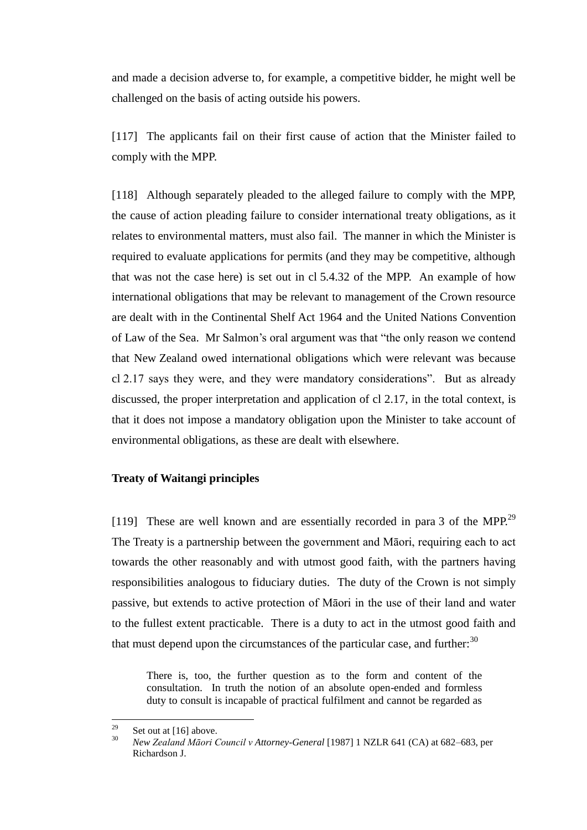and made a decision adverse to, for example, a competitive bidder, he might well be challenged on the basis of acting outside his powers.

[117] The applicants fail on their first cause of action that the Minister failed to comply with the MPP.

[118] Although separately pleaded to the alleged failure to comply with the MPP, the cause of action pleading failure to consider international treaty obligations, as it relates to environmental matters, must also fail. The manner in which the Minister is required to evaluate applications for permits (and they may be competitive, although that was not the case here) is set out in cl 5.4.32 of the MPP. An example of how international obligations that may be relevant to management of the Crown resource are dealt with in the Continental Shelf Act 1964 and the United Nations Convention of Law of the Sea. Mr Salmon's oral argument was that "the only reason we contend that New Zealand owed international obligations which were relevant was because cl 2.17 says they were, and they were mandatory considerations". But as already discussed, the proper interpretation and application of cl 2.17, in the total context, is that it does not impose a mandatory obligation upon the Minister to take account of environmental obligations, as these are dealt with elsewhere.

### **Treaty of Waitangi principles**

<span id="page-39-0"></span>[119] These are well known and are essentially recorded in para 3 of the MPP.<sup>29</sup> The Treaty is a partnership between the government and Māori, requiring each to act towards the other reasonably and with utmost good faith, with the partners having responsibilities analogous to fiduciary duties. The duty of the Crown is not simply passive, but extends to active protection of Māori in the use of their land and water to the fullest extent practicable. There is a duty to act in the utmost good faith and that must depend upon the circumstances of the particular case, and further: $30$ 

There is, too, the further question as to the form and content of the consultation. In truth the notion of an absolute open-ended and formless duty to consult is incapable of practical fulfilment and cannot be regarded as

<sup>29</sup> <sup>29</sup> Set out at [\[16\]](#page-8-0) above.

<sup>30</sup> *New Zealand Māori Council v Attorney-General* [1987] 1 NZLR 641 (CA) at 682–683, per Richardson J.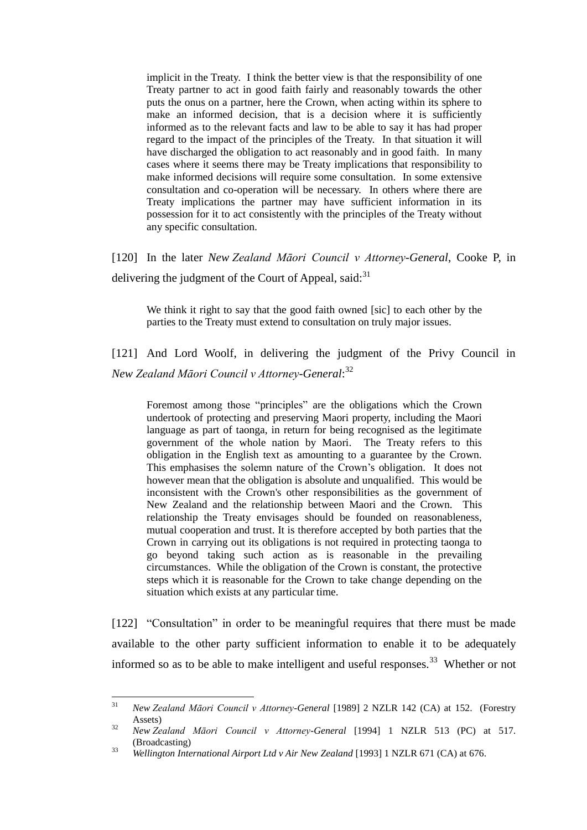implicit in the Treaty. I think the better view is that the responsibility of one Treaty partner to act in good faith fairly and reasonably towards the other puts the onus on a partner, here the Crown, when acting within its sphere to make an informed decision, that is a decision where it is sufficiently informed as to the relevant facts and law to be able to say it has had proper regard to the impact of the principles of the Treaty. In that situation it will have discharged the obligation to act reasonably and in good faith. In many cases where it seems there may be Treaty implications that responsibility to make informed decisions will require some consultation. In some extensive consultation and co-operation will be necessary. In others where there are Treaty implications the partner may have sufficient information in its possession for it to act consistently with the principles of the Treaty without any specific consultation.

[120] In the later *New Zealand Māori Council v Attorney-General*, Cooke P, in delivering the judgment of the Court of Appeal, said:<sup>31</sup>

We think it right to say that the good faith owned [sic] to each other by the parties to the Treaty must extend to consultation on truly major issues.

[121] And Lord Woolf, in delivering the judgment of the Privy Council in *New Zealand Māori Council v Attorney-General*: 32

Foremost among those "principles" are the obligations which the Crown undertook of protecting and preserving Maori property, including the Maori language as part of taonga, in return for being recognised as the legitimate government of the whole nation by Maori. The Treaty refers to this obligation in the English text as amounting to a guarantee by the Crown. This emphasises the solemn nature of the Crown's obligation. It does not however mean that the obligation is absolute and unqualified. This would be inconsistent with the Crown's other responsibilities as the government of New Zealand and the relationship between Maori and the Crown. This relationship the Treaty envisages should be founded on reasonableness, mutual cooperation and trust. It is therefore accepted by both parties that the Crown in carrying out its obligations is not required in protecting taonga to go beyond taking such action as is reasonable in the prevailing circumstances. While the obligation of the Crown is constant, the protective steps which it is reasonable for the Crown to take change depending on the situation which exists at any particular time.

[122] "Consultation" in order to be meaningful requires that there must be made available to the other party sufficient information to enable it to be adequately informed so as to be able to make intelligent and useful responses.<sup>33</sup> Whether or not

 $31$ <sup>31</sup> *New Zealand Māori Council v Attorney-General* [1989] 2 NZLR 142 (CA) at 152. (Forestry Assets)

<sup>32</sup> *New Zealand Māori Council v Attorney-General* [1994] 1 NZLR 513 (PC) at 517. (Broadcasting)

<sup>33</sup> *Wellington International Airport Ltd v Air New Zealand* [1993] 1 NZLR 671 (CA) at 676.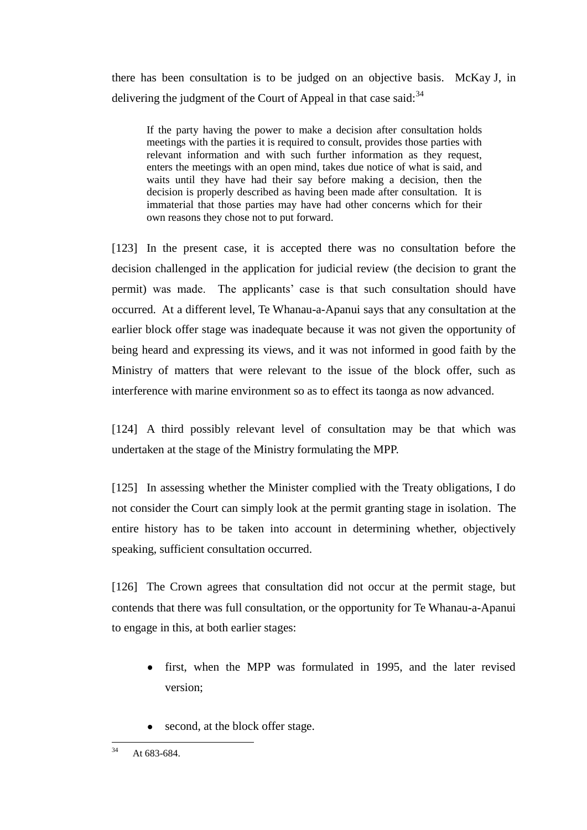there has been consultation is to be judged on an objective basis. McKay J, in delivering the judgment of the Court of Appeal in that case said:  $34$ 

If the party having the power to make a decision after consultation holds meetings with the parties it is required to consult, provides those parties with relevant information and with such further information as they request, enters the meetings with an open mind, takes due notice of what is said, and waits until they have had their say before making a decision, then the decision is properly described as having been made after consultation. It is immaterial that those parties may have had other concerns which for their own reasons they chose not to put forward.

[123] In the present case, it is accepted there was no consultation before the decision challenged in the application for judicial review (the decision to grant the permit) was made. The applicants' case is that such consultation should have occurred. At a different level, Te Whanau-a-Apanui says that any consultation at the earlier block offer stage was inadequate because it was not given the opportunity of being heard and expressing its views, and it was not informed in good faith by the Ministry of matters that were relevant to the issue of the block offer, such as interference with marine environment so as to effect its taonga as now advanced.

[124] A third possibly relevant level of consultation may be that which was undertaken at the stage of the Ministry formulating the MPP.

[125] In assessing whether the Minister complied with the Treaty obligations, I do not consider the Court can simply look at the permit granting stage in isolation. The entire history has to be taken into account in determining whether, objectively speaking, sufficient consultation occurred.

[126] The Crown agrees that consultation did not occur at the permit stage, but contends that there was full consultation, or the opportunity for Te Whanau-a-Apanui to engage in this, at both earlier stages:

- first, when the MPP was formulated in 1995, and the later revised version;
- second, at the block offer stage.

 $34$ At 683-684.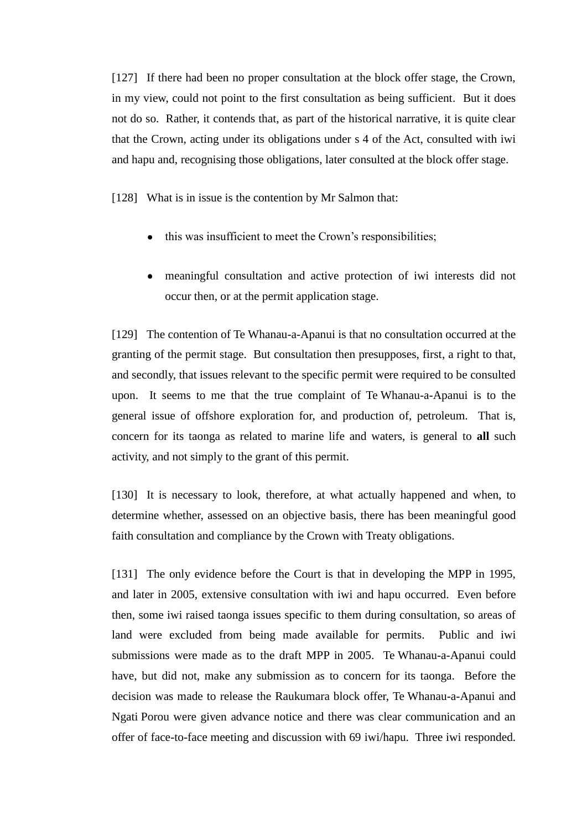[127] If there had been no proper consultation at the block offer stage, the Crown, in my view, could not point to the first consultation as being sufficient. But it does not do so. Rather, it contends that, as part of the historical narrative, it is quite clear that the Crown, acting under its obligations under s 4 of the Act, consulted with iwi and hapu and, recognising those obligations, later consulted at the block offer stage.

[128] What is in issue is the contention by Mr Salmon that:

- this was insufficient to meet the Crown's responsibilities;
- meaningful consultation and active protection of iwi interests did not occur then, or at the permit application stage.

[129] The contention of Te Whanau-a-Apanui is that no consultation occurred at the granting of the permit stage. But consultation then presupposes, first, a right to that, and secondly, that issues relevant to the specific permit were required to be consulted upon. It seems to me that the true complaint of Te Whanau-a-Apanui is to the general issue of offshore exploration for, and production of, petroleum. That is, concern for its taonga as related to marine life and waters, is general to **all** such activity, and not simply to the grant of this permit.

[130] It is necessary to look, therefore, at what actually happened and when, to determine whether, assessed on an objective basis, there has been meaningful good faith consultation and compliance by the Crown with Treaty obligations.

[131] The only evidence before the Court is that in developing the MPP in 1995, and later in 2005, extensive consultation with iwi and hapu occurred. Even before then, some iwi raised taonga issues specific to them during consultation, so areas of land were excluded from being made available for permits. Public and iwi submissions were made as to the draft MPP in 2005. Te Whanau-a-Apanui could have, but did not, make any submission as to concern for its taonga. Before the decision was made to release the Raukumara block offer, Te Whanau-a-Apanui and Ngati Porou were given advance notice and there was clear communication and an offer of face-to-face meeting and discussion with 69 iwi/hapu. Three iwi responded.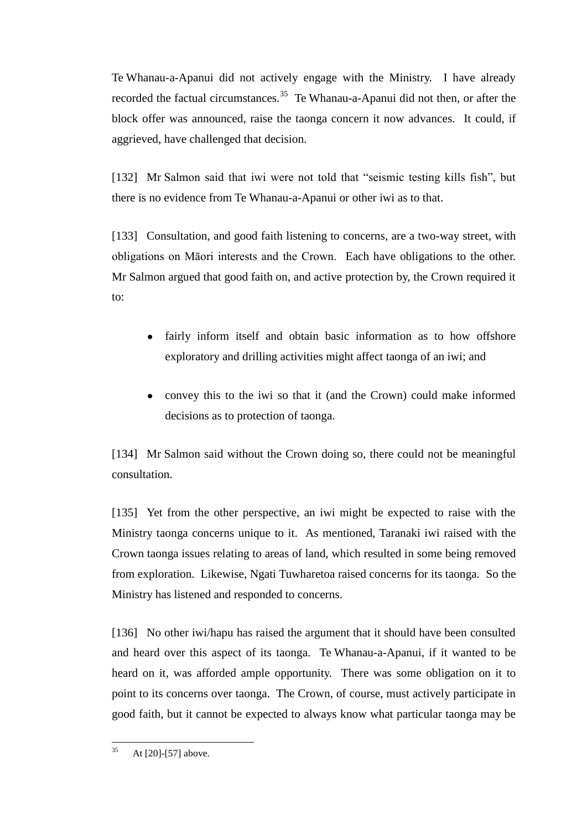Te Whanau-a-Apanui did not actively engage with the Ministry. I have already recorded the factual circumstances.<sup>35</sup> Te Whanau-a-Apanui did not then, or after the block offer was announced, raise the taonga concern it now advances. It could, if aggrieved, have challenged that decision.

[132] Mr Salmon said that iwi were not told that "seismic testing kills fish", but there is no evidence from Te Whanau-a-Apanui or other iwi as to that.

[133] Consultation, and good faith listening to concerns, are a two-way street, with obligations on Māori interests and the Crown. Each have obligations to the other. Mr Salmon argued that good faith on, and active protection by, the Crown required it to:

- fairly inform itself and obtain basic information as to how offshore exploratory and drilling activities might affect taonga of an iwi; and
- convey this to the iwi so that it (and the Crown) could make informed decisions as to protection of taonga.

[134] Mr Salmon said without the Crown doing so, there could not be meaningful consultation.

[135] Yet from the other perspective, an iwi might be expected to raise with the Ministry taonga concerns unique to it. As mentioned, Taranaki iwi raised with the Crown taonga issues relating to areas of land, which resulted in some being removed from exploration. Likewise, Ngati Tuwharetoa raised concerns for its taonga. So the Ministry has listened and responded to concerns.

[136] No other iwi/hapu has raised the argument that it should have been consulted and heard over this aspect of its taonga. Te Whanau-a-Apanui, if it wanted to be heard on it, was afforded ample opportunity. There was some obligation on it to point to its concerns over taonga. The Crown, of course, must actively participate in good faith, but it cannot be expected to always know what particular taonga may be

 $35$ At [\[20\]](#page-12-0)[-\[57\]](#page-20-1) above.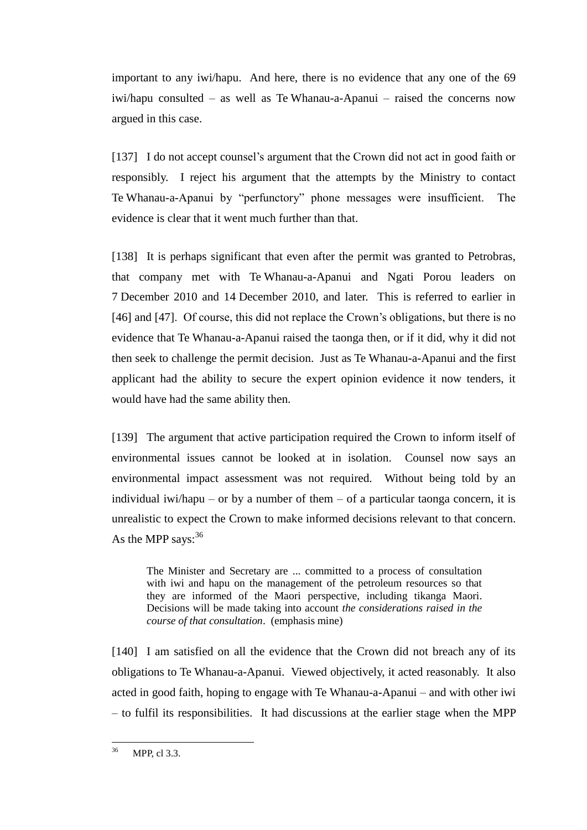important to any iwi/hapu. And here, there is no evidence that any one of the 69 iwi/hapu consulted – as well as Te Whanau-a-Apanui – raised the concerns now argued in this case.

[137] I do not accept counsel's argument that the Crown did not act in good faith or responsibly. I reject his argument that the attempts by the Ministry to contact Te Whanau-a-Apanui by "perfunctory" phone messages were insufficient. The evidence is clear that it went much further than that.

[138] It is perhaps significant that even after the permit was granted to Petrobras, that company met with Te Whanau-a-Apanui and Ngati Porou leaders on 7 December 2010 and 14 December 2010, and later. This is referred to earlier in [\[46\]](#page-17-0) and [\[47\].](#page-18-0) Of course, this did not replace the Crown's obligations, but there is no evidence that Te Whanau-a-Apanui raised the taonga then, or if it did, why it did not then seek to challenge the permit decision. Just as Te Whanau-a-Apanui and the first applicant had the ability to secure the expert opinion evidence it now tenders, it would have had the same ability then.

[139] The argument that active participation required the Crown to inform itself of environmental issues cannot be looked at in isolation. Counsel now says an environmental impact assessment was not required. Without being told by an individual iwi/hapu – or by a number of them – of a particular taonga concern, it is unrealistic to expect the Crown to make informed decisions relevant to that concern. As the MPP says:  $36$ 

The Minister and Secretary are ... committed to a process of consultation with iwi and hapu on the management of the petroleum resources so that they are informed of the Maori perspective, including tikanga Maori. Decisions will be made taking into account *the considerations raised in the course of that consultation*. (emphasis mine)

[140] I am satisfied on all the evidence that the Crown did not breach any of its obligations to Te Whanau-a-Apanui. Viewed objectively, it acted reasonably. It also acted in good faith, hoping to engage with Te Whanau-a-Apanui – and with other iwi – to fulfil its responsibilities. It had discussions at the earlier stage when the MPP

 $36$ MPP, cl 3.3.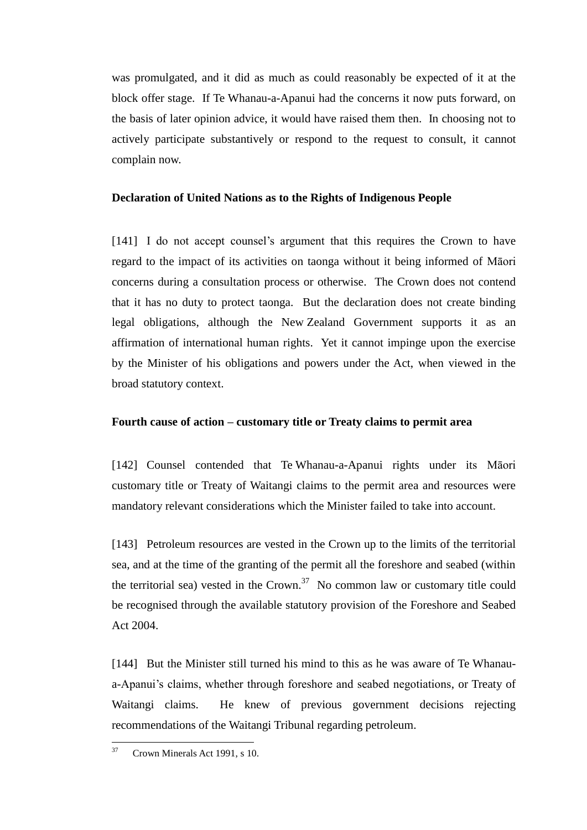was promulgated, and it did as much as could reasonably be expected of it at the block offer stage. If Te Whanau-a-Apanui had the concerns it now puts forward, on the basis of later opinion advice, it would have raised them then. In choosing not to actively participate substantively or respond to the request to consult, it cannot complain now.

# **Declaration of United Nations as to the Rights of Indigenous People**

<span id="page-45-0"></span>[141] I do not accept counsel's argument that this requires the Crown to have regard to the impact of its activities on taonga without it being informed of Māori concerns during a consultation process or otherwise. The Crown does not contend that it has no duty to protect taonga. But the declaration does not create binding legal obligations, although the New Zealand Government supports it as an affirmation of international human rights. Yet it cannot impinge upon the exercise by the Minister of his obligations and powers under the Act, when viewed in the broad statutory context.

# **Fourth cause of action – customary title or Treaty claims to permit area**

<span id="page-45-1"></span>[142] Counsel contended that Te Whanau-a-Apanui rights under its Māori customary title or Treaty of Waitangi claims to the permit area and resources were mandatory relevant considerations which the Minister failed to take into account.

[143] Petroleum resources are vested in the Crown up to the limits of the territorial sea, and at the time of the granting of the permit all the foreshore and seabed (within the territorial sea) vested in the Crown.<sup>37</sup> No common law or customary title could be recognised through the available statutory provision of the Foreshore and Seabed Act 2004.

[144] But the Minister still turned his mind to this as he was aware of Te Whanaua-Apanui's claims, whether through foreshore and seabed negotiations, or Treaty of Waitangi claims. He knew of previous government decisions rejecting recommendations of the Waitangi Tribunal regarding petroleum.

<sup>37</sup> <sup>37</sup> Crown Minerals Act 1991, s 10.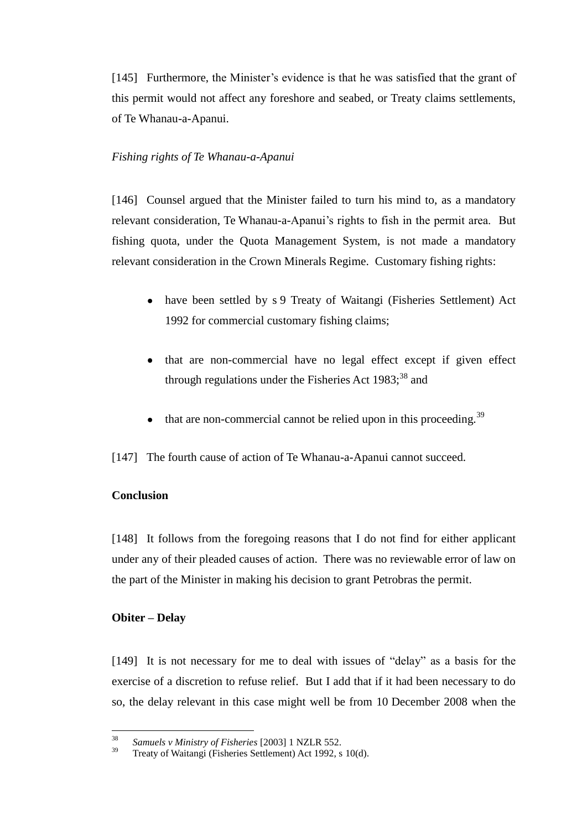[145] Furthermore, the Minister's evidence is that he was satisfied that the grant of this permit would not affect any foreshore and seabed, or Treaty claims settlements, of Te Whanau-a-Apanui.

### *Fishing rights of Te Whanau-a-Apanui*

<span id="page-46-0"></span>[146] Counsel argued that the Minister failed to turn his mind to, as a mandatory relevant consideration, Te Whanau-a-Apanui's rights to fish in the permit area. But fishing quota, under the Quota Management System, is not made a mandatory relevant consideration in the Crown Minerals Regime. Customary fishing rights:

- have been settled by s 9 Treaty of Waitangi (Fisheries Settlement) Act 1992 for commercial customary fishing claims;
- that are non-commercial have no legal effect except if given effect through regulations under the Fisheries Act  $1983$ ;<sup>38</sup> and
- $\bullet$  that are non-commercial cannot be relied upon in this proceeding.<sup>39</sup>

[147] The fourth cause of action of Te Whanau-a-Apanui cannot succeed.

# **Conclusion**

<span id="page-46-1"></span>[148] It follows from the foregoing reasons that I do not find for either applicant under any of their pleaded causes of action. There was no reviewable error of law on the part of the Minister in making his decision to grant Petrobras the permit.

### **Obiter – Delay**

<span id="page-46-2"></span>[149] It is not necessary for me to deal with issues of "delay" as a basis for the exercise of a discretion to refuse relief. But I add that if it had been necessary to do so, the delay relevant in this case might well be from 10 December 2008 when the

<sup>38</sup> <sup>38</sup> *Samuels v Ministry of Fisheries* [2003] 1 NZLR 552.

Treaty of Waitangi (Fisheries Settlement) Act 1992, s 10(d).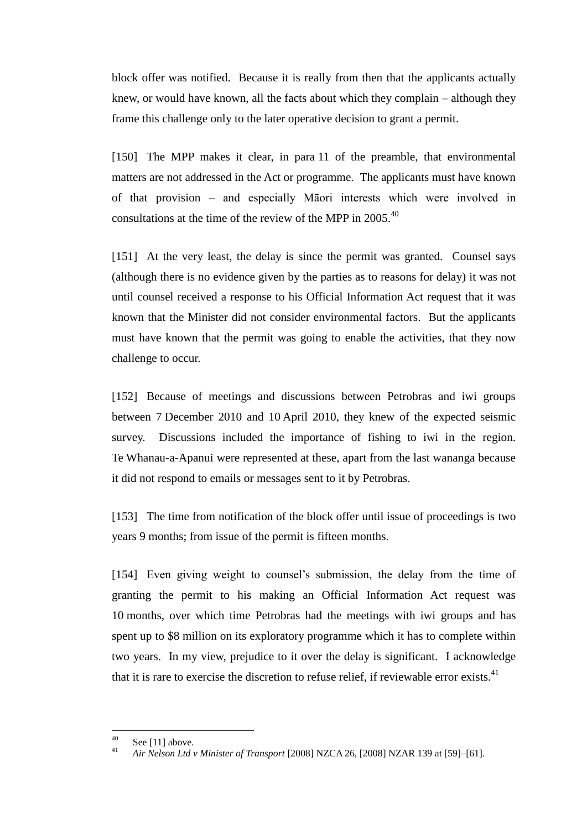block offer was notified. Because it is really from then that the applicants actually knew, or would have known, all the facts about which they complain – although they frame this challenge only to the later operative decision to grant a permit.

[150] The MPP makes it clear, in para 11 of the preamble, that environmental matters are not addressed in the Act or programme. The applicants must have known of that provision – and especially Māori interests which were involved in consultations at the time of the review of the MPP in  $2005$ .<sup>40</sup>

[151] At the very least, the delay is since the permit was granted. Counsel says (although there is no evidence given by the parties as to reasons for delay) it was not until counsel received a response to his Official Information Act request that it was known that the Minister did not consider environmental factors. But the applicants must have known that the permit was going to enable the activities, that they now challenge to occur.

[152] Because of meetings and discussions between Petrobras and iwi groups between 7 December 2010 and 10 April 2010, they knew of the expected seismic survey. Discussions included the importance of fishing to iwi in the region. Te Whanau-a-Apanui were represented at these, apart from the last wananga because it did not respond to emails or messages sent to it by Petrobras.

[153] The time from notification of the block offer until issue of proceedings is two years 9 months; from issue of the permit is fifteen months.

[154] Even giving weight to counsel's submission, the delay from the time of granting the permit to his making an Official Information Act request was 10 months, over which time Petrobras had the meetings with iwi groups and has spent up to \$8 million on its exploratory programme which it has to complete within two years. In my view, prejudice to it over the delay is significant. I acknowledge that it is rare to exercise the discretion to refuse relief, if reviewable error exists.<sup>41</sup>

 $40$  $^{40}$  Se[e \[11\]](#page-4-0) above.

<sup>41</sup> *Air Nelson Ltd v Minister of Transport* [2008] NZCA 26, [2008] NZAR 139 at [59]–[61].